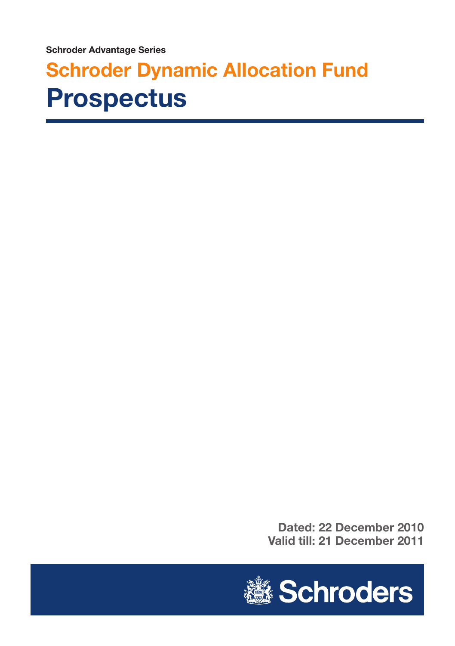**Schroder Advantage Series**

# **Schroder Dynamic Allocation Fund Prospectus**

**Dated: 22 December 2010 Valid till: 21 December 2011**

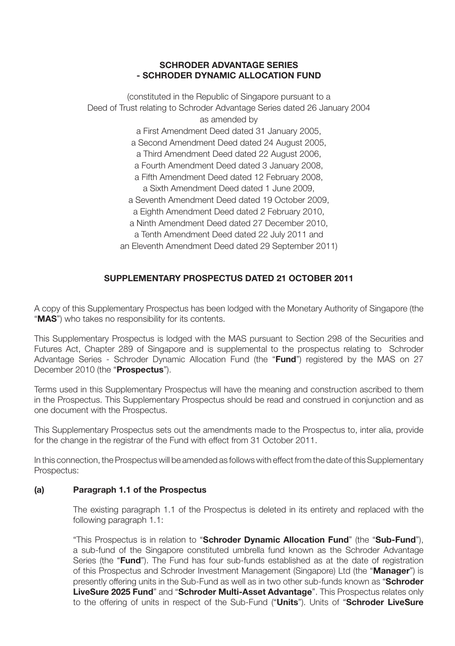#### **SCHRODER ADVANTAGE SERIES - SCHRODER DYNAMIC ALLOCATION FUND**

(constituted in the Republic of Singapore pursuant to a Deed of Trust relating to Schroder Advantage Series dated 26 January 2004 as amended by a First Amendment Deed dated 31 January 2005, a Second Amendment Deed dated 24 August 2005, a Third Amendment Deed dated 22 August 2006, a Fourth Amendment Deed dated 3 January 2008, a Fifth Amendment Deed dated 12 February 2008, a Sixth Amendment Deed dated 1 June 2009, a Seventh Amendment Deed dated 19 October 2009, a Eighth Amendment Deed dated 2 February 2010, a Ninth Amendment Deed dated 27 December 2010, a Tenth Amendment Deed dated 22 July 2011 and an Eleventh Amendment Deed dated 29 September 2011)

## **SUPPLEMENTARY PROSPECTUS DATED 21 OCTOBER 2011**

A copy of this Supplementary Prospectus has been lodged with the Monetary Authority of Singapore (the "**MAS**") who takes no responsibility for its contents.

This Supplementary Prospectus is lodged with the MAS pursuant to Section 298 of the Securities and Futures Act, Chapter 289 of Singapore and is supplemental to the prospectus relating to Schroder Advantage Series - Schroder Dynamic Allocation Fund (the "**Fund**") registered by the MAS on 27 December 2010 (the "**Prospectus**").

Terms used in this Supplementary Prospectus will have the meaning and construction ascribed to them in the Prospectus. This Supplementary Prospectus should be read and construed in conjunction and as one document with the Prospectus.

This Supplementary Prospectus sets out the amendments made to the Prospectus to, inter alia, provide for the change in the registrar of the Fund with effect from 31 October 2011.

In this connection, the Prospectus will be amended as follows with effect from the date of this Supplementary Prospectus:

## **(a) Paragraph 1.1 of the Prospectus**

The existing paragraph 1.1 of the Prospectus is deleted in its entirety and replaced with the following paragraph 1.1:

"This Prospectus is in relation to "**Schroder Dynamic Allocation Fund**" (the "**Sub-Fund**"), a sub-fund of the Singapore constituted umbrella fund known as the Schroder Advantage Series (the "**Fund**"). The Fund has four sub-funds established as at the date of registration of this Prospectus and Schroder Investment Management (Singapore) Ltd (the "**Manager**") is presently offering units in the Sub-Fund as well as in two other sub-funds known as "**Schroder LiveSure 2025 Fund**" and "**Schroder Multi-Asset Advantage**". This Prospectus relates only to the offering of units in respect of the Sub-Fund ("**Units**"). Units of "**Schroder LiveSure**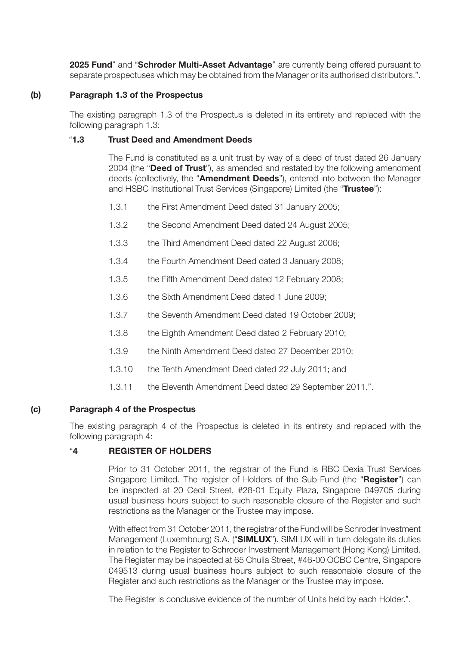**2025 Fund**" and "**Schroder Multi-Asset Advantage**" are currently being offered pursuant to separate prospectuses which may be obtained from the Manager or its authorised distributors.".

#### **(b) Paragraph 1.3 of the Prospectus**

The existing paragraph 1.3 of the Prospectus is deleted in its entirety and replaced with the following paragraph 1.3:

#### "**1.3 Trust Deed and Amendment Deeds**

The Fund is constituted as a unit trust by way of a deed of trust dated 26 January 2004 (the "**Deed of Trust**"), as amended and restated by the following amendment deeds (collectively, the "**Amendment Deeds**"), entered into between the Manager and HSBC Institutional Trust Services (Singapore) Limited (the "**Trustee**"):

- 1.3.1 the First Amendment Deed dated 31 January 2005;
- 1.3.2 the Second Amendment Deed dated 24 August 2005;
- 1.3.3 the Third Amendment Deed dated 22 August 2006;
- 1.3.4 the Fourth Amendment Deed dated 3 January 2008;
- 1.3.5 the Fifth Amendment Deed dated 12 February 2008;
- 1.3.6 the Sixth Amendment Deed dated 1 June 2009;
- 1.3.7 the Seventh Amendment Deed dated 19 October 2009;
- 1.3.8 the Eighth Amendment Deed dated 2 February 2010;
- 1.3.9 the Ninth Amendment Deed dated 27 December 2010;
- 1.3.10 the Tenth Amendment Deed dated 22 July 2011; and
- 1.3.11 the Eleventh Amendment Deed dated 29 September 2011.".

## **(c) Paragraph 4 of the Prospectus**

The existing paragraph 4 of the Prospectus is deleted in its entirety and replaced with the following paragraph 4:

## "**4 REGISTER OF HOLDERS**

Prior to 31 October 2011, the registrar of the Fund is RBC Dexia Trust Services Singapore Limited. The register of Holders of the Sub-Fund (the "**Register**") can be inspected at 20 Cecil Street, #28-01 Equity Plaza, Singapore 049705 during usual business hours subject to such reasonable closure of the Register and such restrictions as the Manager or the Trustee may impose.

With effect from 31 October 2011, the registrar of the Fund will be Schroder Investment Management (Luxembourg) S.A. ("**SIMLUX**"). SIMLUX will in turn delegate its duties in relation to the Register to Schroder Investment Management (Hong Kong) Limited. The Register may be inspected at 65 Chulia Street, #46-00 OCBC Centre, Singapore 049513 during usual business hours subject to such reasonable closure of the Register and such restrictions as the Manager or the Trustee may impose.

The Register is conclusive evidence of the number of Units held by each Holder.".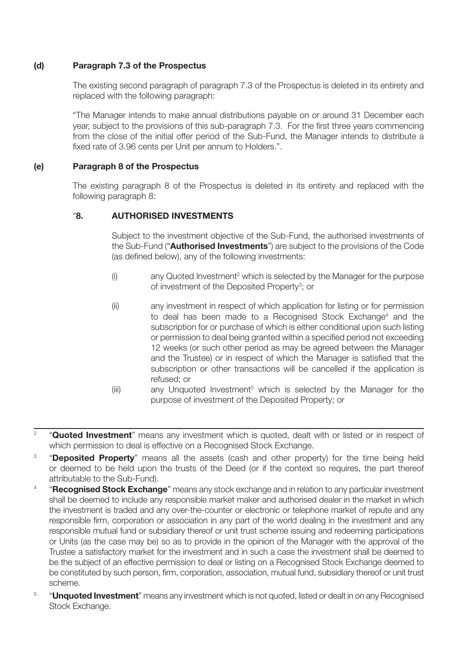## **(d) Paragraph 7.3 of the Prospectus**

The existing second paragraph of paragraph 7.3 of the Prospectus is deleted in its entirety and replaced with the following paragraph:

"The Manager intends to make annual distributions payable on or around 31 December each year, subject to the provisions of this sub-paragraph 7.3. For the first three years commencing from the close of the initial offer period of the Sub-Fund, the Manager intends to distribute a fixed rate of 3.96 cents per Unit per annum to Holders.".

## **(e) Paragraph 8 of the Prospectus**

The existing paragraph 8 of the Prospectus is deleted in its entirety and replaced with the following paragraph 8:

## "**8. AUTHORISED INVESTMENTS**

Subject to the investment objective of the Sub-Fund, the authorised investments of the Sub-Fund ("**Authorised Investments**") are subject to the provisions of the Code (as defined below), any of the following investments:

- $(i)$  any Quoted Investment<sup>2</sup> which is selected by the Manager for the purpose of investment of the Deposited Property<sup>3</sup>; or
- (ii) any investment in respect of which application for listing or for permission to deal has been made to a Recognised Stock Exchange<sup>4</sup> and the subscription for or purchase of which is either conditional upon such listing or permission to deal being granted within a specified period not exceeding 12 weeks (or such other period as may be agreed between the Manager and the Trustee) or in respect of which the Manager is satisfied that the subscription or other transactions will be cancelled if the application is refused; or
- (iii) any Unquoted Investment<sup>5</sup> which is selected by the Manager for the purpose of investment of the Deposited Property; or
- <sup>2</sup> "**Quoted Investment**" means any investment which is quoted, dealt with or listed or in respect of which permission to deal is effective on a Recognised Stock Exchange.
- <sup>3</sup> **"Deposited Property**" means all the assets (cash and other property) for the time being held or deemed to be held upon the trusts of the Deed (or if the context so requires, the part thereof attributable to the Sub-Fund).
- <sup>4</sup> "**Recognised Stock Exchange**" means any stock exchange and in relation to any particular investment shall be deemed to include any responsible market maker and authorised dealer in the market in which the investment is traded and any over-the-counter or electronic or telephone market of repute and any responsible firm, corporation or association in any part of the world dealing in the investment and any responsible mutual fund or subsidiary thereof or unit trust scheme issuing and redeeming participations or Units (as the case may be) so as to provide in the opinion of the Manager with the approval of the Trustee a satisfactory market for the investment and in such a case the investment shall be deemed to be the subject of an effective permission to deal or listing on a Recognised Stock Exchange deemed to be constituted by such person, firm, corporation, association, mutual fund, subsidiary thereof or unit trust scheme.
- <sup>5</sup> "**Unquoted Investment**" means any investment which is not quoted, listed or dealt in on any Recognised Stock Exchange.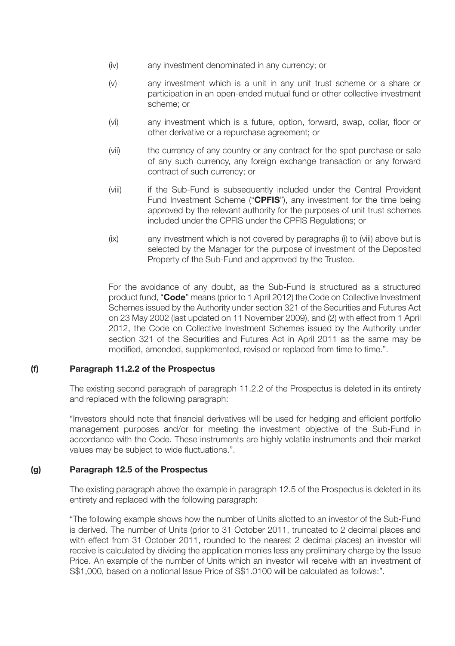- (iv) any investment denominated in any currency; or
- (v) any investment which is a unit in any unit trust scheme or a share or participation in an open-ended mutual fund or other collective investment scheme; or
- (vi) any investment which is a future, option, forward, swap, collar, floor or other derivative or a repurchase agreement; or
- (vii) the currency of any country or any contract for the spot purchase or sale of any such currency, any foreign exchange transaction or any forward contract of such currency; or
- (viii) if the Sub-Fund is subsequently included under the Central Provident Fund Investment Scheme ("**CPFIS**"), any investment for the time being approved by the relevant authority for the purposes of unit trust schemes included under the CPFIS under the CPFIS Regulations; or
- (ix) any investment which is not covered by paragraphs (i) to (viii) above but is selected by the Manager for the purpose of investment of the Deposited Property of the Sub-Fund and approved by the Trustee.

For the avoidance of any doubt, as the Sub-Fund is structured as a structured product fund, "**Code**" means (prior to 1 April 2012) the Code on Collective Investment Schemes issued by the Authority under section 321 of the Securities and Futures Act on 23 May 2002 (last updated on 11 November 2009), and (2) with effect from 1 April 2012, the Code on Collective Investment Schemes issued by the Authority under section 321 of the Securities and Futures Act in April 2011 as the same may be modified, amended, supplemented, revised or replaced from time to time.".

#### **(f) Paragraph 11.2.2 of the Prospectus**

The existing second paragraph of paragraph 11.2.2 of the Prospectus is deleted in its entirety and replaced with the following paragraph:

"Investors should note that financial derivatives will be used for hedging and efficient portfolio management purposes and/or for meeting the investment objective of the Sub-Fund in accordance with the Code. These instruments are highly volatile instruments and their market values may be subject to wide fluctuations.".

#### **(g) Paragraph 12.5 of the Prospectus**

The existing paragraph above the example in paragraph 12.5 of the Prospectus is deleted in its entirety and replaced with the following paragraph:

"The following example shows how the number of Units allotted to an investor of the Sub-Fund is derived. The number of Units (prior to 31 October 2011, truncated to 2 decimal places and with effect from 31 October 2011, rounded to the nearest 2 decimal places) an investor will receive is calculated by dividing the application monies less any preliminary charge by the Issue Price. An example of the number of Units which an investor will receive with an investment of S\$1,000, based on a notional Issue Price of S\$1.0100 will be calculated as follows:".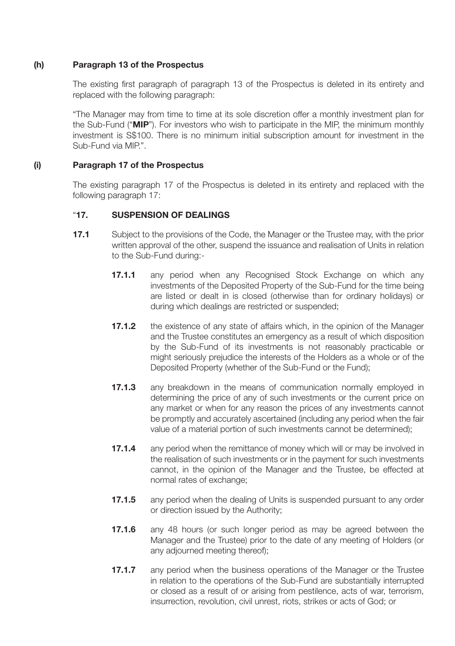#### **(h) Paragraph 13 of the Prospectus**

The existing first paragraph of paragraph 13 of the Prospectus is deleted in its entirety and replaced with the following paragraph:

"The Manager may from time to time at its sole discretion offer a monthly investment plan for the Sub-Fund ("**MIP**"). For investors who wish to participate in the MIP, the minimum monthly investment is S\$100. There is no minimum initial subscription amount for investment in the Sub-Fund via MIP.".

## **(i) Paragraph 17 of the Prospectus**

The existing paragraph 17 of the Prospectus is deleted in its entirety and replaced with the following paragraph 17:

## "**17. SUSPENSION OF DEALINGS**

- **17.1** Subject to the provisions of the Code, the Manager or the Trustee may, with the prior written approval of the other, suspend the issuance and realisation of Units in relation to the Sub-Fund during:-
	- **17.1.1** any period when any Recognised Stock Exchange on which any investments of the Deposited Property of the Sub-Fund for the time being are listed or dealt in is closed (otherwise than for ordinary holidays) or during which dealings are restricted or suspended;
	- **17.1.2** the existence of any state of affairs which, in the opinion of the Manager and the Trustee constitutes an emergency as a result of which disposition by the Sub-Fund of its investments is not reasonably practicable or might seriously prejudice the interests of the Holders as a whole or of the Deposited Property (whether of the Sub-Fund or the Fund);
	- **17.1.3** any breakdown in the means of communication normally employed in determining the price of any of such investments or the current price on any market or when for any reason the prices of any investments cannot be promptly and accurately ascertained (including any period when the fair value of a material portion of such investments cannot be determined);
	- **17.1.4** any period when the remittance of money which will or may be involved in the realisation of such investments or in the payment for such investments cannot, in the opinion of the Manager and the Trustee, be effected at normal rates of exchange;
	- **17.1.5** any period when the dealing of Units is suspended pursuant to any order or direction issued by the Authority;
	- **17.1.6** any 48 hours (or such longer period as may be agreed between the Manager and the Trustee) prior to the date of any meeting of Holders (or any adjourned meeting thereof);
	- **17.1.7** any period when the business operations of the Manager or the Trustee in relation to the operations of the Sub-Fund are substantially interrupted or closed as a result of or arising from pestilence, acts of war, terrorism, insurrection, revolution, civil unrest, riots, strikes or acts of God; or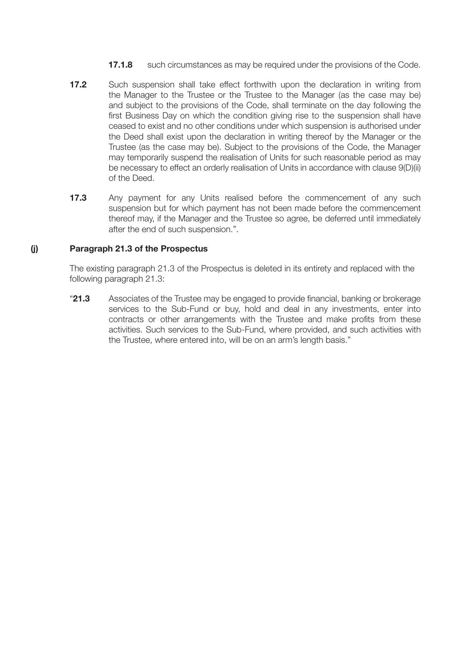- **17.1.8** such circumstances as may be required under the provisions of the Code.
- **17.2** Such suspension shall take effect forthwith upon the declaration in writing from the Manager to the Trustee or the Trustee to the Manager (as the case may be) and subject to the provisions of the Code, shall terminate on the day following the first Business Day on which the condition giving rise to the suspension shall have ceased to exist and no other conditions under which suspension is authorised under the Deed shall exist upon the declaration in writing thereof by the Manager or the Trustee (as the case may be). Subject to the provisions of the Code, the Manager may temporarily suspend the realisation of Units for such reasonable period as may be necessary to effect an orderly realisation of Units in accordance with clause 9(D)(ii) of the Deed.
- **17.3** Any payment for any Units realised before the commencement of any such suspension but for which payment has not been made before the commencement thereof may, if the Manager and the Trustee so agree, be deferred until immediately after the end of such suspension.".

#### **(j) Paragraph 21.3 of the Prospectus**

The existing paragraph 21.3 of the Prospectus is deleted in its entirety and replaced with the following paragraph 21.3:

"**21.3** Associates of the Trustee may be engaged to provide financial, banking or brokerage services to the Sub-Fund or buy, hold and deal in any investments, enter into contracts or other arrangements with the Trustee and make profits from these activities. Such services to the Sub-Fund, where provided, and such activities with the Trustee, where entered into, will be on an arm's length basis."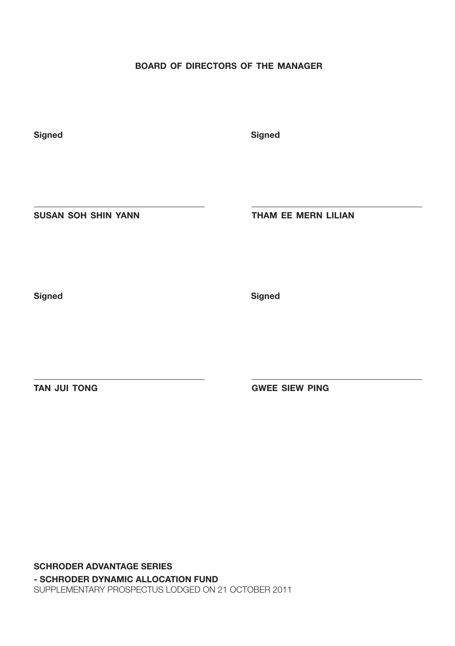## **BOARD OF DIRECTORS OF THE MANAGER**

**Signed Signed Signed** 

**SUSAN SOH SHIN YANN THAM EE MERN LILIAN**

**Signed Signed Signed** 

**TAN JUI TONG GWEE SIEW PING** 

**SCHRODER ADVANTAGE SERIES - SCHRODER DYNAMIC ALLOCATION FUND** SUPPLEMENTARY PROSPECTUS LODGED ON 21 OCTOBER 2011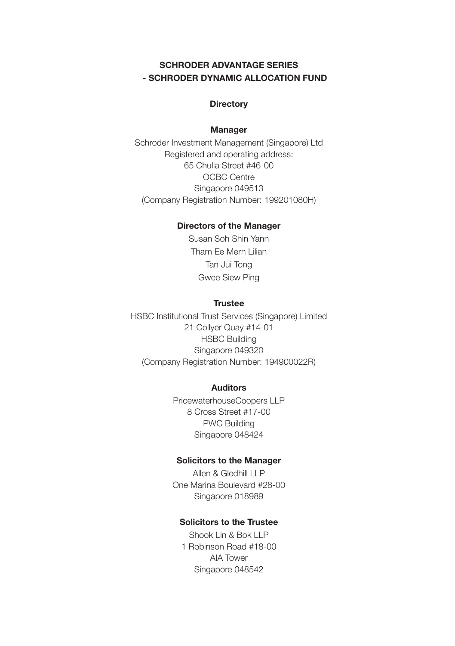## **SCHRODER ADVANTAGE SERIES - SCHRODER DYNAMIC ALLOCATION FUND**

#### **Directory**

#### **Manager**

Schroder Investment Management (Singapore) Ltd Registered and operating address: 65 Chulia Street #46-00 OCBC Centre Singapore 049513 (Company Registration Number: 199201080H)

#### **Directors of the Manager**

Susan Soh Shin Yann Tham Ee Mern Lilian Tan Jui Tong Gwee Siew Ping

#### **Trustee**

HSBC Institutional Trust Services (Singapore) Limited 21 Collyer Quay #14-01 HSBC Building Singapore 049320 (Company Registration Number: 194900022R)

#### **Auditors**

PricewaterhouseCoopers LLP 8 Cross Street #17-00 PWC Building Singapore 048424

#### **Solicitors to the Manager**

Allen & Gledhill LLP One Marina Boulevard #28-00 Singapore 018989

## **Solicitors to the Trustee**

Shook Lin & Bok LLP 1 Robinson Road #18-00 AIA Tower Singapore 048542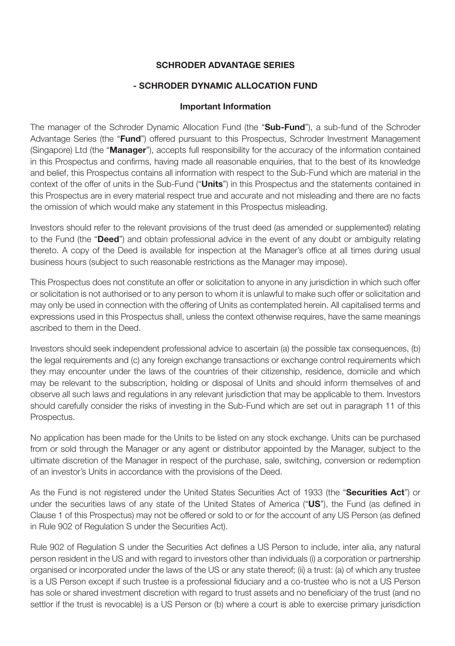## **SCHRODER ADVANTAGE SERIES**

#### **- SCHRODER DYNAMIC ALLOCATION FUND**

#### **Important Information**

The manager of the Schroder Dynamic Allocation Fund (the "**Sub-Fund**"), a sub-fund of the Schroder Advantage Series (the "**Fund**") offered pursuant to this Prospectus, Schroder Investment Management (Singapore) Ltd (the "**Manager**"), accepts full responsibility for the accuracy of the information contained in this Prospectus and confirms, having made all reasonable enquiries, that to the best of its knowledge and belief, this Prospectus contains all information with respect to the Sub-Fund which are material in the context of the offer of units in the Sub-Fund ("**Units**") in this Prospectus and the statements contained in this Prospectus are in every material respect true and accurate and not misleading and there are no facts the omission of which would make any statement in this Prospectus misleading.

Investors should refer to the relevant provisions of the trust deed (as amended or supplemented) relating to the Fund (the "**Deed**") and obtain professional advice in the event of any doubt or ambiguity relating thereto. A copy of the Deed is available for inspection at the Manager's office at all times during usual business hours (subject to such reasonable restrictions as the Manager may impose).

This Prospectus does not constitute an offer or solicitation to anyone in any jurisdiction in which such offer or solicitation is not authorised or to any person to whom it is unlawful to make such offer or solicitation and may only be used in connection with the offering of Units as contemplated herein. All capitalised terms and expressions used in this Prospectus shall, unless the context otherwise requires, have the same meanings ascribed to them in the Deed.

Investors should seek independent professional advice to ascertain (a) the possible tax consequences, (b) the legal requirements and (c) any foreign exchange transactions or exchange control requirements which they may encounter under the laws of the countries of their citizenship, residence, domicile and which may be relevant to the subscription, holding or disposal of Units and should inform themselves of and observe all such laws and regulations in any relevant jurisdiction that may be applicable to them. Investors should carefully consider the risks of investing in the Sub-Fund which are set out in paragraph 11 of this Prospectus.

No application has been made for the Units to be listed on any stock exchange. Units can be purchased from or sold through the Manager or any agent or distributor appointed by the Manager, subject to the ultimate discretion of the Manager in respect of the purchase, sale, switching, conversion or redemption of an investor's Units in accordance with the provisions of the Deed.

As the Fund is not registered under the United States Securities Act of 1933 (the "**Securities Act**") or under the securities laws of any state of the United States of America ("**US**"), the Fund (as defined in Clause 1 of this Prospectus) may not be offered or sold to or for the account of any US Person (as defined in Rule 902 of Regulation S under the Securities Act).

Rule 902 of Regulation S under the Securities Act defines a US Person to include, inter alia, any natural person resident in the US and with regard to investors other than individuals (i) a corporation or partnership organised or incorporated under the laws of the US or any state thereof; (ii) a trust: (a) of which any trustee is a US Person except if such trustee is a professional fiduciary and a co-trustee who is not a US Person has sole or shared investment discretion with regard to trust assets and no beneficiary of the trust (and no settlor if the trust is revocable) is a US Person or (b) where a court is able to exercise primary jurisdiction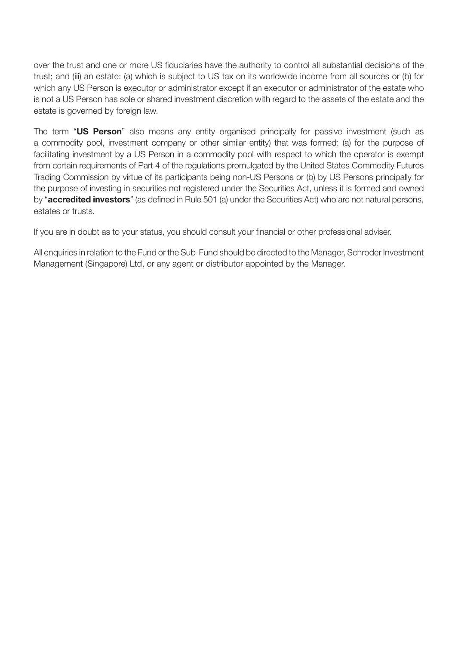over the trust and one or more US fiduciaries have the authority to control all substantial decisions of the trust; and (iii) an estate: (a) which is subject to US tax on its worldwide income from all sources or (b) for which any US Person is executor or administrator except if an executor or administrator of the estate who is not a US Person has sole or shared investment discretion with regard to the assets of the estate and the estate is governed by foreign law.

The term "**US Person**" also means any entity organised principally for passive investment (such as a commodity pool, investment company or other similar entity) that was formed: (a) for the purpose of facilitating investment by a US Person in a commodity pool with respect to which the operator is exempt from certain requirements of Part 4 of the regulations promulgated by the United States Commodity Futures Trading Commission by virtue of its participants being non-US Persons or (b) by US Persons principally for the purpose of investing in securities not registered under the Securities Act, unless it is formed and owned by "**accredited investors**" (as defined in Rule 501 (a) under the Securities Act) who are not natural persons, estates or trusts.

If you are in doubt as to your status, you should consult your financial or other professional adviser.

All enquiries in relation to the Fund or the Sub-Fund should be directed to the Manager, Schroder Investment Management (Singapore) Ltd, or any agent or distributor appointed by the Manager.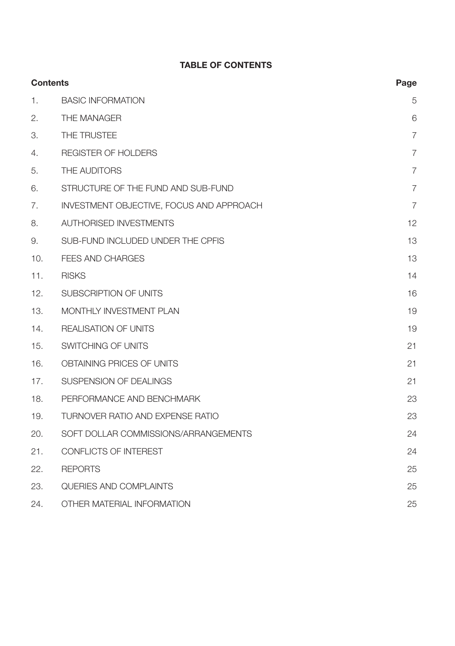# **TABLE OF CONTENTS**

|     | <b>Contents</b>                          | Page           |
|-----|------------------------------------------|----------------|
| 1.  | <b>BASIC INFORMATION</b>                 | 5              |
| 2.  | THE MANAGER                              | 6              |
| 3.  | THE TRUSTEE                              | $\overline{7}$ |
| 4.  | REGISTER OF HOLDERS                      | $\overline{7}$ |
| 5.  | THE AUDITORS                             | $\overline{7}$ |
| 6.  | STRUCTURE OF THE FUND AND SUB-FUND       | $\overline{7}$ |
| 7.  | INVESTMENT OBJECTIVE, FOCUS AND APPROACH | $\overline{7}$ |
| 8.  | <b>AUTHORISED INVESTMENTS</b>            | 12             |
| 9.  | SUB-FUND INCLUDED UNDER THE CPFIS        | 13             |
| 10. | <b>FEES AND CHARGES</b>                  | 13             |
| 11. | <b>RISKS</b>                             | 14             |
| 12. | SUBSCRIPTION OF UNITS                    | 16             |
| 13. | MONTHLY INVESTMENT PLAN                  | 19             |
| 14. | <b>REALISATION OF UNITS</b>              | 19             |
| 15. | SWITCHING OF UNITS                       | 21             |
| 16. | OBTAINING PRICES OF UNITS                | 21             |
| 17. | SUSPENSION OF DEALINGS                   | 21             |
| 18. | PERFORMANCE AND BENCHMARK                | 23             |
| 19. | TURNOVER RATIO AND EXPENSE RATIO         | 23             |
| 20. | SOFT DOLLAR COMMISSIONS/ARRANGEMENTS     | 24             |
| 21. | CONFLICTS OF INTEREST                    | 24             |
| 22. | <b>REPORTS</b>                           | 25             |
| 23. | QUERIES AND COMPLAINTS                   | 25             |
| 24. | OTHER MATERIAL INFORMATION               | 25             |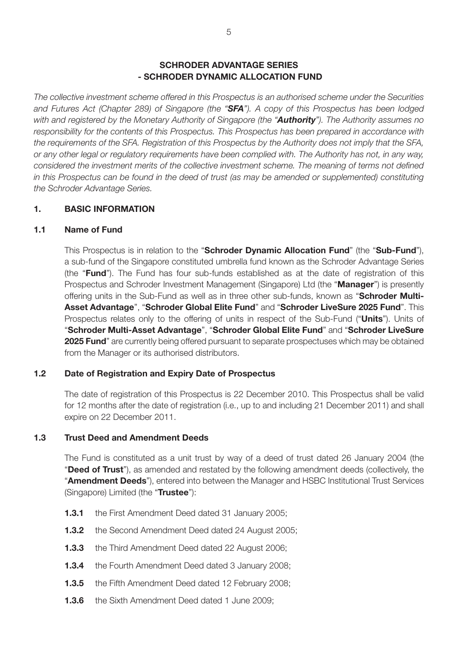#### **SCHRODER ADVANTAGE SERIES - SCHRODER DYNAMIC ALLOCATION FUND**

*The collective investment scheme offered in this Prospectus is an authorised scheme under the Securities and Futures Act (Chapter 289) of Singapore (the "SFA"). A copy of this Prospectus has been lodged with and registered by the Monetary Authority of Singapore (the "Authority"). The Authority assumes no responsibility for the contents of this Prospectus. This Prospectus has been prepared in accordance with the requirements of the SFA. Registration of this Prospectus by the Authority does not imply that the SFA, or any other legal or regulatory requirements have been complied with. The Authority has not, in any way, considered the investment merits of the collective investment scheme. The meaning of terms not defined in this Prospectus can be found in the deed of trust (as may be amended or supplemented) constituting the Schroder Advantage Series.*

#### **1. BASIC INFORMATION**

#### **1.1 Name of Fund**

This Prospectus is in relation to the "**Schroder Dynamic Allocation Fund**" (the "**Sub-Fund**"), a sub-fund of the Singapore constituted umbrella fund known as the Schroder Advantage Series (the "**Fund**"). The Fund has four sub-funds established as at the date of registration of this Prospectus and Schroder Investment Management (Singapore) Ltd (the "**Manager**") is presently offering units in the Sub-Fund as well as in three other sub-funds, known as "**Schroder Multi-Asset Advantage**", "**Schroder Global Elite Fund**" and "**Schroder LiveSure 2025 Fund**". This Prospectus relates only to the offering of units in respect of the Sub-Fund ("**Units**"). Units of "**Schroder Multi-Asset Advantage**", "**Schroder Global Elite Fund**" and "**Schroder LiveSure 2025 Fund**" are currently being offered pursuant to separate prospectuses which may be obtained from the Manager or its authorised distributors.

## **1.2 Date of Registration and Expiry Date of Prospectus**

The date of registration of this Prospectus is 22 December 2010. This Prospectus shall be valid for 12 months after the date of registration (i.e., up to and including 21 December 2011) and shall expire on 22 December 2011.

#### **1.3 Trust Deed and Amendment Deeds**

The Fund is constituted as a unit trust by way of a deed of trust dated 26 January 2004 (the "**Deed of Trust**"), as amended and restated by the following amendment deeds (collectively, the "**Amendment Deeds**"), entered into between the Manager and HSBC Institutional Trust Services (Singapore) Limited (the "**Trustee**"):

- **1.3.1** the First Amendment Deed dated 31 January 2005;
- **1.3.2** the Second Amendment Deed dated 24 August 2005;
- **1.3.3** the Third Amendment Deed dated 22 August 2006;
- **1.3.4** the Fourth Amendment Deed dated 3 January 2008;
- **1.3.5** the Fifth Amendment Deed dated 12 February 2008;
- **1.3.6** the Sixth Amendment Deed dated 1 June 2009;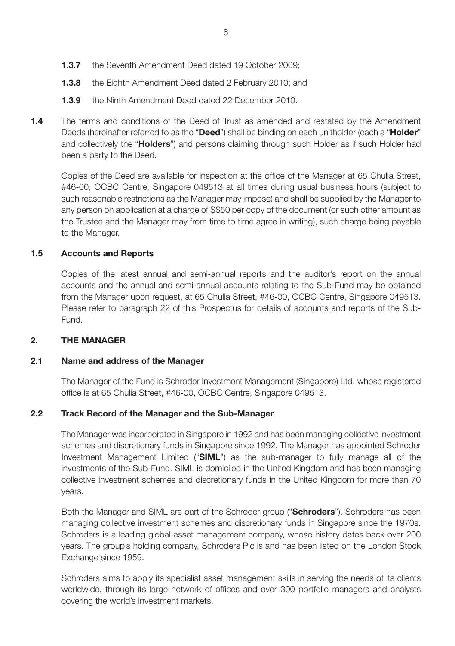- **1.3.7** the Seventh Amendment Deed dated 19 October 2009;
- **1.3.8** the Eighth Amendment Deed dated 2 February 2010; and
- **1.3.9** the Ninth Amendment Deed dated 22 December 2010.
- **1.4** The terms and conditions of the Deed of Trust as amended and restated by the Amendment Deeds (hereinafter referred to as the "**Deed**") shall be binding on each unitholder (each a "**Holder**" and collectively the "**Holders**") and persons claiming through such Holder as if such Holder had been a party to the Deed.

Copies of the Deed are available for inspection at the office of the Manager at 65 Chulia Street, #46-00, OCBC Centre, Singapore 049513 at all times during usual business hours (subject to such reasonable restrictions as the Manager may impose) and shall be supplied by the Manager to any person on application at a charge of S\$50 per copy of the document (or such other amount as the Trustee and the Manager may from time to time agree in writing), such charge being payable to the Manager.

#### **1.5 Accounts and Reports**

Copies of the latest annual and semi-annual reports and the auditor's report on the annual accounts and the annual and semi-annual accounts relating to the Sub-Fund may be obtained from the Manager upon request, at 65 Chulia Street, #46-00, OCBC Centre, Singapore 049513. Please refer to paragraph 22 of this Prospectus for details of accounts and reports of the Sub-Fund.

## **2. THE MANAGER**

#### **2.1 Name and address of the Manager**

The Manager of the Fund is Schroder Investment Management (Singapore) Ltd, whose registered office is at 65 Chulia Street, #46-00, OCBC Centre, Singapore 049513.

## **2.2 Track Record of the Manager and the Sub-Manager**

The Manager was incorporated in Singapore in 1992 and has been managing collective investment schemes and discretionary funds in Singapore since 1992. The Manager has appointed Schroder Investment Management Limited ("**SIML**") as the sub-manager to fully manage all of the investments of the Sub-Fund. SIML is domiciled in the United Kingdom and has been managing collective investment schemes and discretionary funds in the United Kingdom for more than 70 years.

Both the Manager and SIML are part of the Schroder group ("**Schroders**"). Schroders has been managing collective investment schemes and discretionary funds in Singapore since the 1970s. Schroders is a leading global asset management company, whose history dates back over 200 years. The group's holding company, Schroders Plc is and has been listed on the London Stock Exchange since 1959.

Schroders aims to apply its specialist asset management skills in serving the needs of its clients worldwide, through its large network of offices and over 300 portfolio managers and analysts covering the world's investment markets.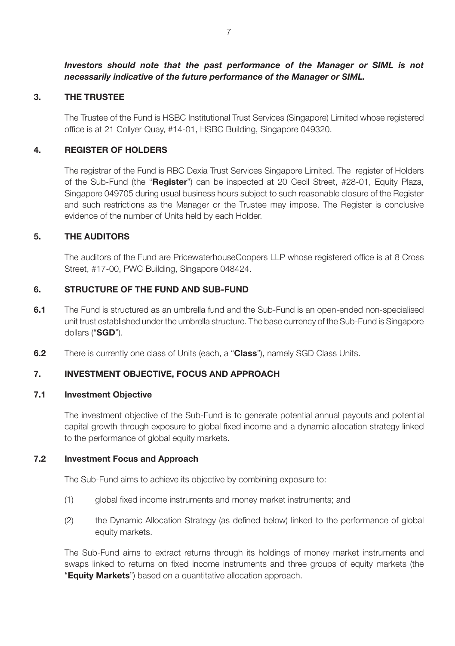*Investors should note that the past performance of the Manager or SIML is not necessarily indicative of the future performance of the Manager or SIML.*

#### **3. THE TRUSTEE**

The Trustee of the Fund is HSBC Institutional Trust Services (Singapore) Limited whose registered office is at 21 Collyer Quay, #14-01, HSBC Building, Singapore 049320.

#### **4. REGISTER OF HOLDERS**

The registrar of the Fund is RBC Dexia Trust Services Singapore Limited. The register of Holders of the Sub-Fund (the "**Register**") can be inspected at 20 Cecil Street, #28-01, Equity Plaza, Singapore 049705 during usual business hours subject to such reasonable closure of the Register and such restrictions as the Manager or the Trustee may impose. The Register is conclusive evidence of the number of Units held by each Holder.

#### **5. THE AUDITORS**

The auditors of the Fund are PricewaterhouseCoopers LLP whose registered office is at 8 Cross Street, #17-00, PWC Building, Singapore 048424.

#### **6. STRUCTURE OF THE FUND AND SUB-FUND**

- **6.1** The Fund is structured as an umbrella fund and the Sub-Fund is an open-ended non-specialised unit trust established under the umbrella structure. The base currency of the Sub-Fund is Singapore dollars ("**SGD**").
- **6.2** There is currently one class of Units (each, a "**Class**"), namely SGD Class Units.

## **7. INVESTMENT OBJECTIVE, FOCUS AND APPROACH**

#### **7.1 Investment Objective**

The investment objective of the Sub-Fund is to generate potential annual payouts and potential capital growth through exposure to global fixed income and a dynamic allocation strategy linked to the performance of global equity markets.

#### **7.2 Investment Focus and Approach**

The Sub-Fund aims to achieve its objective by combining exposure to:

- (1) global fixed income instruments and money market instruments; and
- (2) the Dynamic Allocation Strategy (as defined below) linked to the performance of global equity markets.

The Sub-Fund aims to extract returns through its holdings of money market instruments and swaps linked to returns on fixed income instruments and three groups of equity markets (the "**Equity Markets**") based on a quantitative allocation approach.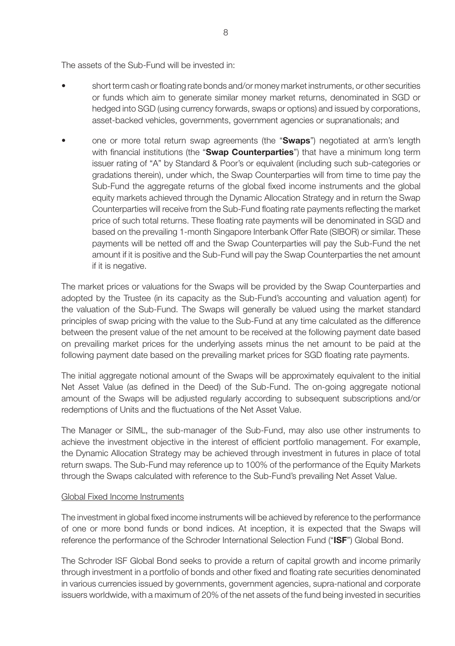The assets of the Sub-Fund will be invested in:

- short term cash or floating rate bonds and/or money market instruments, or other securities or funds which aim to generate similar money market returns, denominated in SGD or hedged into SGD (using currency forwards, swaps or options) and issued by corporations, asset-backed vehicles, governments, government agencies or supranationals; and
- one or more total return swap agreements (the "**Swaps**") negotiated at arm's length with financial institutions (the "**Swap Counterparties**") that have a minimum long term issuer rating of "A" by Standard & Poor's or equivalent (including such sub-categories or gradations therein), under which, the Swap Counterparties will from time to time pay the Sub-Fund the aggregate returns of the global fixed income instruments and the global equity markets achieved through the Dynamic Allocation Strategy and in return the Swap Counterparties will receive from the Sub-Fund floating rate payments reflecting the market price of such total returns. These floating rate payments will be denominated in SGD and based on the prevailing 1-month Singapore Interbank Offer Rate (SIBOR) or similar. These payments will be netted off and the Swap Counterparties will pay the Sub-Fund the net amount if it is positive and the Sub-Fund will pay the Swap Counterparties the net amount if it is negative.

The market prices or valuations for the Swaps will be provided by the Swap Counterparties and adopted by the Trustee (in its capacity as the Sub-Fund's accounting and valuation agent) for the valuation of the Sub-Fund. The Swaps will generally be valued using the market standard principles of swap pricing with the value to the Sub-Fund at any time calculated as the difference between the present value of the net amount to be received at the following payment date based on prevailing market prices for the underlying assets minus the net amount to be paid at the following payment date based on the prevailing market prices for SGD floating rate payments.

The initial aggregate notional amount of the Swaps will be approximately equivalent to the initial Net Asset Value (as defined in the Deed) of the Sub-Fund. The on-going aggregate notional amount of the Swaps will be adjusted regularly according to subsequent subscriptions and/or redemptions of Units and the fluctuations of the Net Asset Value.

The Manager or SIML, the sub-manager of the Sub-Fund, may also use other instruments to achieve the investment objective in the interest of efficient portfolio management. For example, the Dynamic Allocation Strategy may be achieved through investment in futures in place of total return swaps. The Sub-Fund may reference up to 100% of the performance of the Equity Markets through the Swaps calculated with reference to the Sub-Fund's prevailing Net Asset Value.

#### Global Fixed Income Instruments

The investment in global fixed income instruments will be achieved by reference to the performance of one or more bond funds or bond indices. At inception, it is expected that the Swaps will reference the performance of the Schroder International Selection Fund ("**ISF**") Global Bond.

The Schroder ISF Global Bond seeks to provide a return of capital growth and income primarily through investment in a portfolio of bonds and other fixed and floating rate securities denominated in various currencies issued by governments, government agencies, supra-national and corporate issuers worldwide, with a maximum of 20% of the net assets of the fund being invested in securities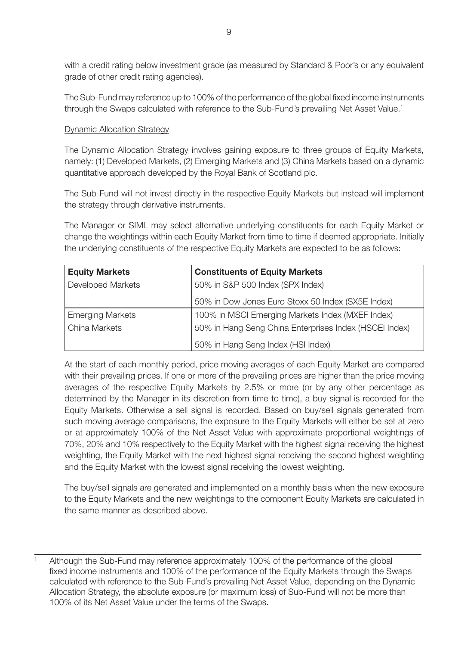with a credit rating below investment grade (as measured by Standard & Poor's or any equivalent grade of other credit rating agencies).

The Sub-Fund may reference up to 100% of the performance of the global fixed income instruments through the Swaps calculated with reference to the Sub-Fund's prevailing Net Asset Value.<sup>1</sup>

#### Dynamic Allocation Strategy

The Dynamic Allocation Strategy involves gaining exposure to three groups of Equity Markets, namely: (1) Developed Markets, (2) Emerging Markets and (3) China Markets based on a dynamic quantitative approach developed by the Royal Bank of Scotland plc.

The Sub-Fund will not invest directly in the respective Equity Markets but instead will implement the strategy through derivative instruments.

The Manager or SIML may select alternative underlying constituents for each Equity Market or change the weightings within each Equity Market from time to time if deemed appropriate. Initially the underlying constituents of the respective Equity Markets are expected to be as follows:

| <b>Equity Markets</b>   | <b>Constituents of Equity Markets</b>                  |
|-------------------------|--------------------------------------------------------|
| Developed Markets       | 50% in S&P 500 Index (SPX Index)                       |
|                         | 50% in Dow Jones Euro Stoxx 50 Index (SX5E Index)      |
| <b>Emerging Markets</b> | 100% in MSCI Emerging Markets Index (MXEF Index)       |
| China Markets           | 50% in Hang Seng China Enterprises Index (HSCEI Index) |
|                         | 50% in Hang Seng Index (HSI Index)                     |

At the start of each monthly period, price moving averages of each Equity Market are compared with their prevailing prices. If one or more of the prevailing prices are higher than the price moving averages of the respective Equity Markets by 2.5% or more (or by any other percentage as determined by the Manager in its discretion from time to time), a buy signal is recorded for the Equity Markets. Otherwise a sell signal is recorded. Based on buy/sell signals generated from such moving average comparisons, the exposure to the Equity Markets will either be set at zero or at approximately 100% of the Net Asset Value with approximate proportional weightings of 70%, 20% and 10% respectively to the Equity Market with the highest signal receiving the highest weighting, the Equity Market with the next highest signal receiving the second highest weighting and the Equity Market with the lowest signal receiving the lowest weighting.

The buy/sell signals are generated and implemented on a monthly basis when the new exposure to the Equity Markets and the new weightings to the component Equity Markets are calculated in the same manner as described above.

<sup>1</sup> Although the Sub-Fund may reference approximately 100% of the performance of the global fixed income instruments and 100% of the performance of the Equity Markets through the Swaps calculated with reference to the Sub-Fund's prevailing Net Asset Value, depending on the Dynamic Allocation Strategy, the absolute exposure (or maximum loss) of Sub-Fund will not be more than 100% of its Net Asset Value under the terms of the Swaps.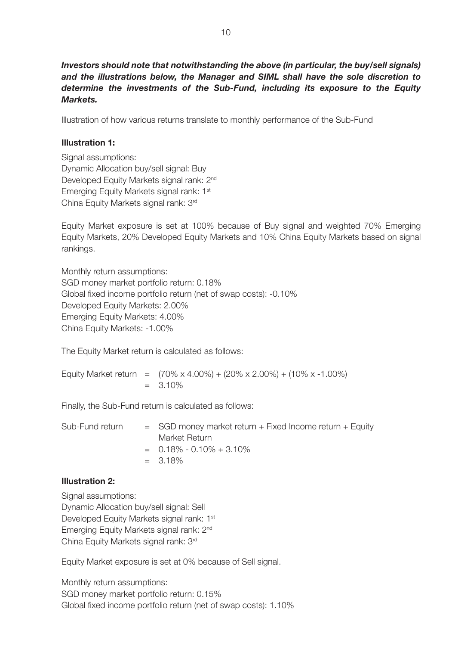*Investors should note that notwithstanding the above (in particular, the buy/sell signals) and the illustrations below, the Manager and SIML shall have the sole discretion to determine the investments of the Sub-Fund, including its exposure to the Equity Markets.*

Illustration of how various returns translate to monthly performance of the Sub-Fund

#### **Illustration 1:**

Signal assumptions: Dynamic Allocation buy/sell signal: Buy Developed Equity Markets signal rank: 2<sup>nd</sup> Emerging Equity Markets signal rank: 1st China Equity Markets signal rank: 3rd

Equity Market exposure is set at 100% because of Buy signal and weighted 70% Emerging Equity Markets, 20% Developed Equity Markets and 10% China Equity Markets based on signal rankings.

Monthly return assumptions: SGD money market portfolio return: 0.18% Global fixed income portfolio return (net of swap costs): -0.10% Developed Equity Markets: 2.00% Emerging Equity Markets: 4.00% China Equity Markets: -1.00%

The Equity Market return is calculated as follows:

Equity Market return =  $(70\% \times 4.00\%) + (20\% \times 2.00\%) + (10\% \times -1.00\%)$  $= 3.10\%$ 

Finally, the Sub-Fund return is calculated as follows:

| Sub-Fund return | $=$ SGD money market return $+$ Fixed Income return $+$ Equity |
|-----------------|----------------------------------------------------------------|
|                 | Market Return                                                  |
|                 | $= 0.18\% - 0.10\% + 3.10\%$                                   |
|                 | $= 3.18\%$                                                     |

#### **Illustration 2:**

Signal assumptions: Dynamic Allocation buy/sell signal: Sell Developed Equity Markets signal rank: 1<sup>st</sup> Emerging Equity Markets signal rank: 2nd China Equity Markets signal rank: 3rd

Equity Market exposure is set at 0% because of Sell signal.

Monthly return assumptions: SGD money market portfolio return: 0.15% Global fixed income portfolio return (net of swap costs): 1.10%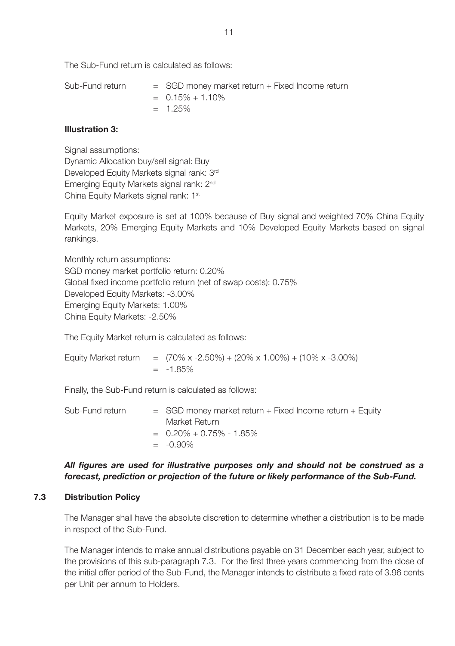The Sub-Fund return is calculated as follows:

| Sub-Fund return | $=$ SGD money market return $+$ Fixed Income return |
|-----------------|-----------------------------------------------------|
|                 | $= 0.15\% + 1.10\%$                                 |
|                 | $= 1.25\%$                                          |

#### **Illustration 3:**

Signal assumptions: Dynamic Allocation buy/sell signal: Buy Developed Equity Markets signal rank: 3<sup>rd</sup> Emerging Equity Markets signal rank: 2nd China Equity Markets signal rank: 1st

Equity Market exposure is set at 100% because of Buy signal and weighted 70% China Equity Markets, 20% Emerging Equity Markets and 10% Developed Equity Markets based on signal rankings.

Monthly return assumptions: SGD money market portfolio return: 0.20% Global fixed income portfolio return (net of swap costs): 0.75% Developed Equity Markets: -3.00% Emerging Equity Markets: 1.00% China Equity Markets: -2.50%

The Equity Market return is calculated as follows:

Equity Market return =  $(70\% \times -2.50\%) + (20\% \times 1.00\%) + (10\% \times -3.00\%)$  $= -1.85%$ 

Finally, the Sub-Fund return is calculated as follows:

Sub-Fund return  $=$  SGD money market return + Fixed Income return + Equity Market Return  $-0.20\% + 0.75\% - 1.85\%$  $= -0.90\%$ 

## *All figures are used for illustrative purposes only and should not be construed as a forecast, prediction or projection of the future or likely performance of the Sub-Fund.*

#### **7.3 Distribution Policy**

The Manager shall have the absolute discretion to determine whether a distribution is to be made in respect of the Sub-Fund.

The Manager intends to make annual distributions payable on 31 December each year, subject to the provisions of this sub-paragraph 7.3. For the first three years commencing from the close of the initial offer period of the Sub-Fund, the Manager intends to distribute a fixed rate of 3.96 cents per Unit per annum to Holders.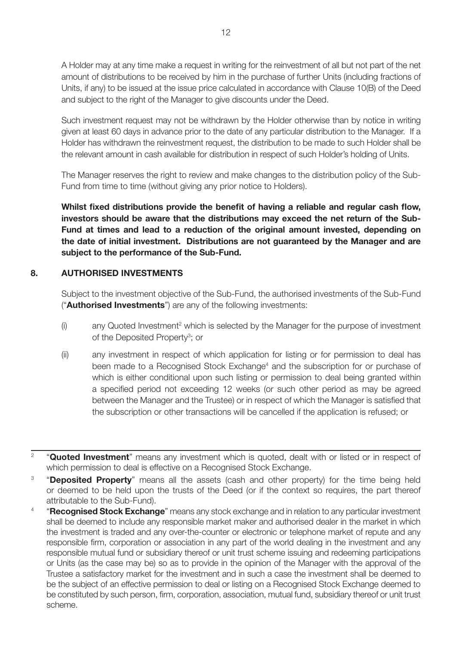A Holder may at any time make a request in writing for the reinvestment of all but not part of the net amount of distributions to be received by him in the purchase of further Units (including fractions of Units, if any) to be issued at the issue price calculated in accordance with Clause 10(B) of the Deed and subject to the right of the Manager to give discounts under the Deed.

Such investment request may not be withdrawn by the Holder otherwise than by notice in writing given at least 60 days in advance prior to the date of any particular distribution to the Manager. If a Holder has withdrawn the reinvestment request, the distribution to be made to such Holder shall be the relevant amount in cash available for distribution in respect of such Holder's holding of Units.

The Manager reserves the right to review and make changes to the distribution policy of the Sub-Fund from time to time (without giving any prior notice to Holders).

**Whilst fixed distributions provide the benefit of having a reliable and regular cash flow, investors should be aware that the distributions may exceed the net return of the Sub-Fund at times and lead to a reduction of the original amount invested, depending on the date of initial investment. Distributions are not guaranteed by the Manager and are subject to the performance of the Sub-Fund.**

#### **8. AUTHORISED INVESTMENTS**

Subject to the investment objective of the Sub-Fund, the authorised investments of the Sub-Fund ("**Authorised Investments**") are any of the following investments:

- (i) any Quoted Investment<sup>2</sup> which is selected by the Manager for the purpose of investment of the Deposited Property<sup>3</sup>; or
- (ii) any investment in respect of which application for listing or for permission to deal has been made to a Recognised Stock Exchange<sup>4</sup> and the subscription for or purchase of which is either conditional upon such listing or permission to deal being granted within a specified period not exceeding 12 weeks (or such other period as may be agreed between the Manager and the Trustee) or in respect of which the Manager is satisfied that the subscription or other transactions will be cancelled if the application is refused; or
- <sup>2</sup> "**Quoted Investment**" means any investment which is quoted, dealt with or listed or in respect of which permission to deal is effective on a Recognised Stock Exchange.
- <sup>3</sup> "**Deposited Property**" means all the assets (cash and other property) for the time being held or deemed to be held upon the trusts of the Deed (or if the context so requires, the part thereof attributable to the Sub-Fund).
- <sup>4</sup> "**Recognised Stock Exchange**" means any stock exchange and in relation to any particular investment shall be deemed to include any responsible market maker and authorised dealer in the market in which the investment is traded and any over-the-counter or electronic or telephone market of repute and any responsible firm, corporation or association in any part of the world dealing in the investment and any responsible mutual fund or subsidiary thereof or unit trust scheme issuing and redeeming participations or Units (as the case may be) so as to provide in the opinion of the Manager with the approval of the Trustee a satisfactory market for the investment and in such a case the investment shall be deemed to be the subject of an effective permission to deal or listing on a Recognised Stock Exchange deemed to be constituted by such person, firm, corporation, association, mutual fund, subsidiary thereof or unit trust scheme.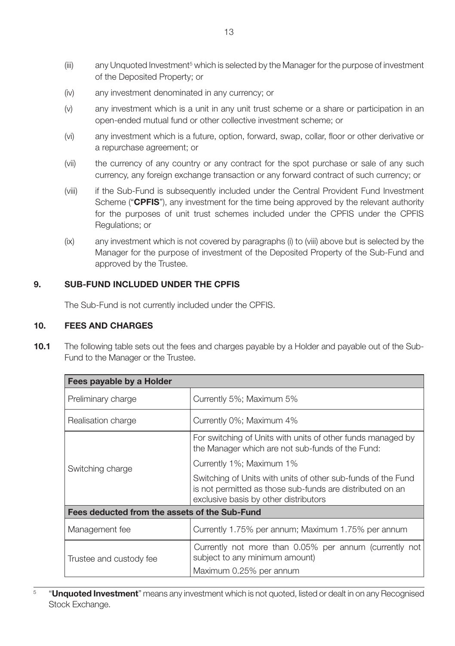- $(iii)$  any Unquoted Investment $5$  which is selected by the Manager for the purpose of investment of the Deposited Property; or
- (iv) any investment denominated in any currency; or
- (v) any investment which is a unit in any unit trust scheme or a share or participation in an open-ended mutual fund or other collective investment scheme; or
- (vi) any investment which is a future, option, forward, swap, collar, floor or other derivative or a repurchase agreement; or
- (vii) the currency of any country or any contract for the spot purchase or sale of any such currency, any foreign exchange transaction or any forward contract of such currency; or
- (viii) if the Sub-Fund is subsequently included under the Central Provident Fund Investment Scheme ("**CPFIS**"), any investment for the time being approved by the relevant authority for the purposes of unit trust schemes included under the CPFIS under the CPFIS Regulations; or
- (ix) any investment which is not covered by paragraphs (i) to (viii) above but is selected by the Manager for the purpose of investment of the Deposited Property of the Sub-Fund and approved by the Trustee.

## **9. SUB-FUND INCLUDED UNDER THE CPFIS**

The Sub-Fund is not currently included under the CPFIS.

#### **10. FEES AND CHARGES**

**10.1** The following table sets out the fees and charges payable by a Holder and payable out of the Sub-Fund to the Manager or the Trustee.

| Fees payable by a Holder                      |                                                                                                                                                                    |  |  |  |
|-----------------------------------------------|--------------------------------------------------------------------------------------------------------------------------------------------------------------------|--|--|--|
| Preliminary charge                            | Currently 5%; Maximum 5%                                                                                                                                           |  |  |  |
| Realisation charge                            | Currently 0%; Maximum 4%                                                                                                                                           |  |  |  |
|                                               | For switching of Units with units of other funds managed by<br>the Manager which are not sub-funds of the Fund:                                                    |  |  |  |
| Switching charge                              | Currently 1%; Maximum 1%                                                                                                                                           |  |  |  |
|                                               | Switching of Units with units of other sub-funds of the Fund<br>is not permitted as those sub-funds are distributed on an<br>exclusive basis by other distributors |  |  |  |
| Fees deducted from the assets of the Sub-Fund |                                                                                                                                                                    |  |  |  |
| Management fee                                | Currently 1.75% per annum; Maximum 1.75% per annum                                                                                                                 |  |  |  |
| Trustee and custody fee                       | Currently not more than 0.05% per annum (currently not<br>subject to any minimum amount)                                                                           |  |  |  |
|                                               | Maximum 0.25% per annum                                                                                                                                            |  |  |  |

<sup>&</sup>lt;sup>5</sup> "Unquoted Investment" means any investment which is not quoted, listed or dealt in on any Recognised Stock Exchange.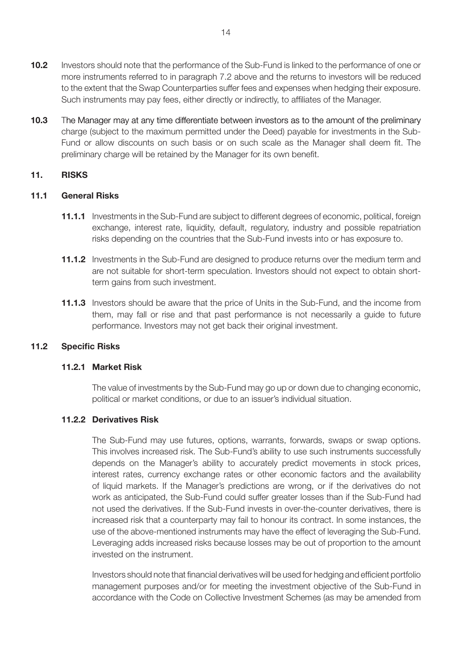- **10.2** Investors should note that the performance of the Sub-Fund is linked to the performance of one or more instruments referred to in paragraph 7.2 above and the returns to investors will be reduced to the extent that the Swap Counterparties suffer fees and expenses when hedging their exposure. Such instruments may pay fees, either directly or indirectly, to affiliates of the Manager.
- **10.3** The Manager may at any time differentiate between investors as to the amount of the preliminary charge (subject to the maximum permitted under the Deed) payable for investments in the Sub-Fund or allow discounts on such basis or on such scale as the Manager shall deem fit. The preliminary charge will be retained by the Manager for its own benefit.

#### **11. RISKS**

## **11.1 General Risks**

- **11.1.1** Investments in the Sub-Fund are subject to different degrees of economic, political, foreign exchange, interest rate, liquidity, default, regulatory, industry and possible repatriation risks depending on the countries that the Sub-Fund invests into or has exposure to.
- **11.1.2** Investments in the Sub-Fund are designed to produce returns over the medium term and are not suitable for short-term speculation. Investors should not expect to obtain shortterm gains from such investment.
- **11.1.3** Investors should be aware that the price of Units in the Sub-Fund, and the income from them, may fall or rise and that past performance is not necessarily a guide to future performance. Investors may not get back their original investment.

#### **11.2 Specific Risks**

## **11.2.1 Market Risk**

The value of investments by the Sub-Fund may go up or down due to changing economic, political or market conditions, or due to an issuer's individual situation.

## **11.2.2 Derivatives Risk**

The Sub-Fund may use futures, options, warrants, forwards, swaps or swap options. This involves increased risk. The Sub-Fund's ability to use such instruments successfully depends on the Manager's ability to accurately predict movements in stock prices, interest rates, currency exchange rates or other economic factors and the availability of liquid markets. If the Manager's predictions are wrong, or if the derivatives do not work as anticipated, the Sub-Fund could suffer greater losses than if the Sub-Fund had not used the derivatives. If the Sub-Fund invests in over-the-counter derivatives, there is increased risk that a counterparty may fail to honour its contract. In some instances, the use of the above-mentioned instruments may have the effect of leveraging the Sub-Fund. Leveraging adds increased risks because losses may be out of proportion to the amount invested on the instrument.

Investors should note that financial derivatives will be used for hedging and efficient portfolio management purposes and/or for meeting the investment objective of the Sub-Fund in accordance with the Code on Collective Investment Schemes (as may be amended from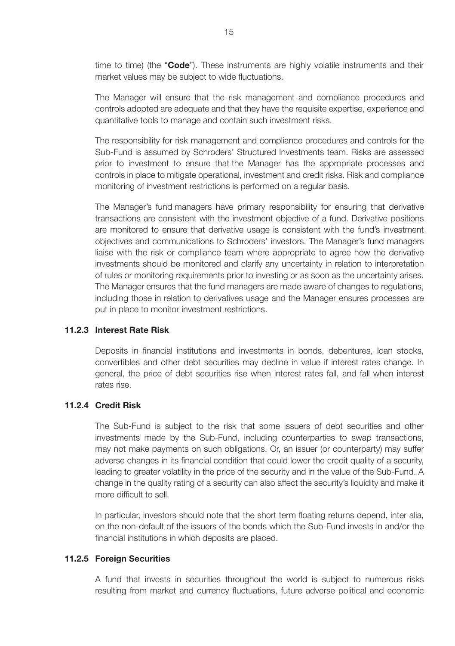time to time) (the "**Code**"). These instruments are highly volatile instruments and their market values may be subject to wide fluctuations.

The Manager will ensure that the risk management and compliance procedures and controls adopted are adequate and that they have the requisite expertise, experience and quantitative tools to manage and contain such investment risks.

The responsibility for risk management and compliance procedures and controls for the Sub-Fund is assumed by Schroders' Structured Investments team. Risks are assessed prior to investment to ensure that the Manager has the appropriate processes and controls in place to mitigate operational, investment and credit risks. Risk and compliance monitoring of investment restrictions is performed on a regular basis.

The Manager's fund managers have primary responsibility for ensuring that derivative transactions are consistent with the investment objective of a fund. Derivative positions are monitored to ensure that derivative usage is consistent with the fund's investment objectives and communications to Schroders' investors. The Manager's fund managers liaise with the risk or compliance team where appropriate to agree how the derivative investments should be monitored and clarify any uncertainty in relation to interpretation of rules or monitoring requirements prior to investing or as soon as the uncertainty arises. The Manager ensures that the fund managers are made aware of changes to regulations, including those in relation to derivatives usage and the Manager ensures processes are put in place to monitor investment restrictions.

## **11.2.3 Interest Rate Risk**

Deposits in financial institutions and investments in bonds, debentures, loan stocks, convertibles and other debt securities may decline in value if interest rates change. In general, the price of debt securities rise when interest rates fall, and fall when interest rates rise.

## **11.2.4 Credit Risk**

The Sub-Fund is subject to the risk that some issuers of debt securities and other investments made by the Sub-Fund, including counterparties to swap transactions, may not make payments on such obligations. Or, an issuer (or counterparty) may suffer adverse changes in its financial condition that could lower the credit quality of a security, leading to greater volatility in the price of the security and in the value of the Sub-Fund. A change in the quality rating of a security can also affect the security's liquidity and make it more difficult to sell.

In particular, investors should note that the short term floating returns depend, inter alia, on the non-default of the issuers of the bonds which the Sub-Fund invests in and/or the financial institutions in which deposits are placed.

#### **11.2.5 Foreign Securities**

A fund that invests in securities throughout the world is subject to numerous risks resulting from market and currency fluctuations, future adverse political and economic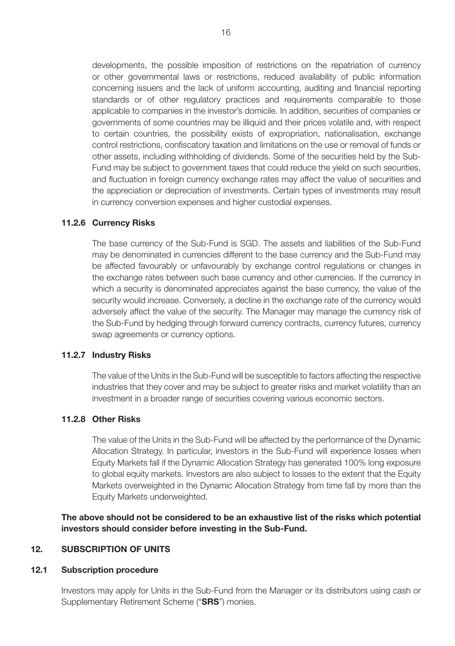developments, the possible imposition of restrictions on the repatriation of currency or other governmental laws or restrictions, reduced availability of public information concerning issuers and the lack of uniform accounting, auditing and financial reporting standards or of other regulatory practices and requirements comparable to those applicable to companies in the investor's domicile. In addition, securities of companies or governments of some countries may be illiquid and their prices volatile and, with respect to certain countries, the possibility exists of expropriation, nationalisation, exchange control restrictions, confiscatory taxation and limitations on the use or removal of funds or other assets, including withholding of dividends. Some of the securities held by the Sub-Fund may be subject to government taxes that could reduce the yield on such securities, and fluctuation in foreign currency exchange rates may affect the value of securities and the appreciation or depreciation of investments. Certain types of investments may result in currency conversion expenses and higher custodial expenses.

#### **11.2.6 Currency Risks**

The base currency of the Sub-Fund is SGD. The assets and liabilities of the Sub-Fund may be denominated in currencies different to the base currency and the Sub-Fund may be affected favourably or unfavourably by exchange control regulations or changes in the exchange rates between such base currency and other currencies. If the currency in which a security is denominated appreciates against the base currency, the value of the security would increase. Conversely, a decline in the exchange rate of the currency would adversely affect the value of the security. The Manager may manage the currency risk of the Sub-Fund by hedging through forward currency contracts, currency futures, currency swap agreements or currency options.

#### **11.2.7 Industry Risks**

The value of the Units in the Sub-Fund will be susceptible to factors affecting the respective industries that they cover and may be subject to greater risks and market volatility than an investment in a broader range of securities covering various economic sectors.

#### **11.2.8 Other Risks**

The value of the Units in the Sub-Fund will be affected by the performance of the Dynamic Allocation Strategy. In particular, investors in the Sub-Fund will experience losses when Equity Markets fall if the Dynamic Allocation Strategy has generated 100% long exposure to global equity markets. Investors are also subject to losses to the extent that the Equity Markets overweighted in the Dynamic Allocation Strategy from time fall by more than the Equity Markets underweighted.

**The above should not be considered to be an exhaustive list of the risks which potential investors should consider before investing in the Sub-Fund.** 

#### **12. SUBSCRIPTION OF UNITS**

#### **12.1 Subscription procedure**

Investors may apply for Units in the Sub-Fund from the Manager or its distributors using cash or Supplementary Retirement Scheme ("**SRS**") monies.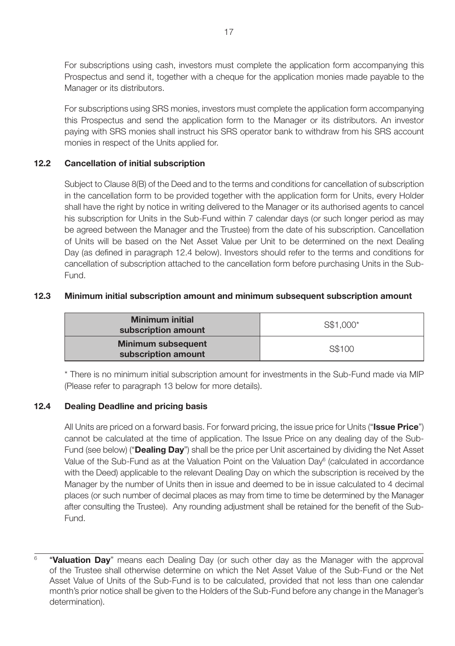For subscriptions using cash, investors must complete the application form accompanying this Prospectus and send it, together with a cheque for the application monies made payable to the Manager or its distributors.

For subscriptions using SRS monies, investors must complete the application form accompanying this Prospectus and send the application form to the Manager or its distributors. An investor paying with SRS monies shall instruct his SRS operator bank to withdraw from his SRS account monies in respect of the Units applied for.

## **12.2 Cancellation of initial subscription**

Subject to Clause 8(B) of the Deed and to the terms and conditions for cancellation of subscription in the cancellation form to be provided together with the application form for Units, every Holder shall have the right by notice in writing delivered to the Manager or its authorised agents to cancel his subscription for Units in the Sub-Fund within 7 calendar days (or such longer period as may be agreed between the Manager and the Trustee) from the date of his subscription. Cancellation of Units will be based on the Net Asset Value per Unit to be determined on the next Dealing Day (as defined in paragraph 12.4 below). Investors should refer to the terms and conditions for cancellation of subscription attached to the cancellation form before purchasing Units in the Sub-Fund.

## **12.3 Minimum initial subscription amount and minimum subsequent subscription amount**

| <b>Minimum initial</b><br>subscription amount    | S\$1.000* |
|--------------------------------------------------|-----------|
| <b>Minimum subsequent</b><br>subscription amount | S\$100    |

\* There is no minimum initial subscription amount for investments in the Sub-Fund made via MIP (Please refer to paragraph 13 below for more details).

## **12.4 Dealing Deadline and pricing basis**

All Units are priced on a forward basis. For forward pricing, the issue price for Units ("**Issue Price**") cannot be calculated at the time of application. The Issue Price on any dealing day of the Sub-Fund (see below) ("**Dealing Day**") shall be the price per Unit ascertained by dividing the Net Asset Value of the Sub-Fund as at the Valuation Point on the Valuation Day<sup>6</sup> (calculated in accordance with the Deed) applicable to the relevant Dealing Day on which the subscription is received by the Manager by the number of Units then in issue and deemed to be in issue calculated to 4 decimal places (or such number of decimal places as may from time to time be determined by the Manager after consulting the Trustee). Any rounding adjustment shall be retained for the benefit of the Sub-Fund.

6 "**Valuation Day**" means each Dealing Day (or such other day as the Manager with the approval of the Trustee shall otherwise determine on which the Net Asset Value of the Sub-Fund or the Net Asset Value of Units of the Sub-Fund is to be calculated, provided that not less than one calendar month's prior notice shall be given to the Holders of the Sub-Fund before any change in the Manager's determination).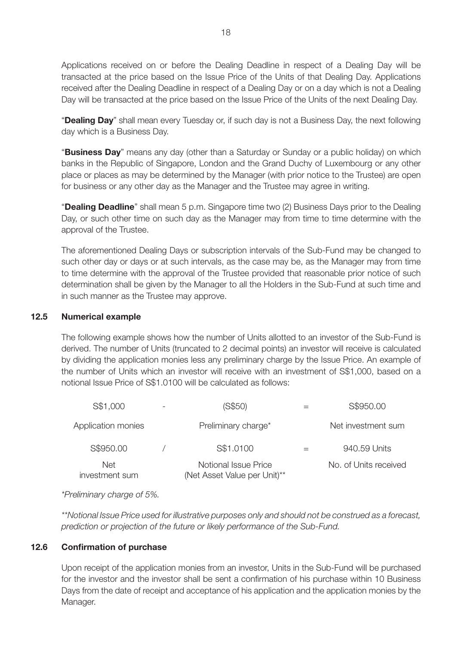Applications received on or before the Dealing Deadline in respect of a Dealing Day will be transacted at the price based on the Issue Price of the Units of that Dealing Day. Applications received after the Dealing Deadline in respect of a Dealing Day or on a day which is not a Dealing Day will be transacted at the price based on the Issue Price of the Units of the next Dealing Day.

"**Dealing Day**" shall mean every Tuesday or, if such day is not a Business Day, the next following day which is a Business Day.

"**Business Day**" means any day (other than a Saturday or Sunday or a public holiday) on which banks in the Republic of Singapore, London and the Grand Duchy of Luxembourg or any other place or places as may be determined by the Manager (with prior notice to the Trustee) are open for business or any other day as the Manager and the Trustee may agree in writing.

"**Dealing Deadline**" shall mean 5 p.m. Singapore time two (2) Business Days prior to the Dealing Day, or such other time on such day as the Manager may from time to time determine with the approval of the Trustee.

The aforementioned Dealing Days or subscription intervals of the Sub-Fund may be changed to such other day or days or at such intervals, as the case may be, as the Manager may from time to time determine with the approval of the Trustee provided that reasonable prior notice of such determination shall be given by the Manager to all the Holders in the Sub-Fund at such time and in such manner as the Trustee may approve.

#### **12.5 Numerical example**

The following example shows how the number of Units allotted to an investor of the Sub-Fund is derived. The number of Units (truncated to 2 decimal points) an investor will receive is calculated by dividing the application monies less any preliminary charge by the Issue Price. An example of the number of Units which an investor will receive with an investment of S\$1,000, based on a notional Issue Price of S\$1.0100 will be calculated as follows:

| S\$1,000                     | (S\$50)                                              | S\$950.00             |
|------------------------------|------------------------------------------------------|-----------------------|
| Application monies           | Preliminary charge*                                  | Net investment sum    |
| S\$950.00                    | S\$1,0100                                            | 940.59 Units          |
| <b>Net</b><br>investment sum | Notional Issue Price<br>(Net Asset Value per Unit)** | No. of Units received |

*\*Preliminary charge of 5%.* 

*\*\*Notional Issue Price used for illustrative purposes only and should not be construed as a forecast, prediction or projection of the future or likely performance of the Sub-Fund.*

## **12.6 Confirmation of purchase**

Upon receipt of the application monies from an investor, Units in the Sub-Fund will be purchased for the investor and the investor shall be sent a confirmation of his purchase within 10 Business Days from the date of receipt and acceptance of his application and the application monies by the Manager.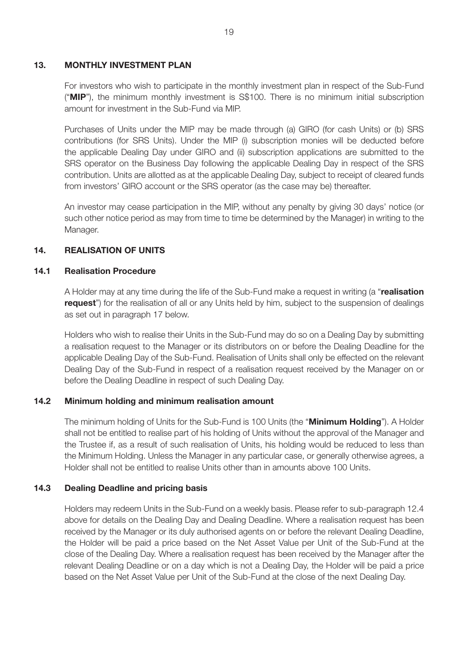#### **13. MONTHLY INVESTMENT PLAN**

For investors who wish to participate in the monthly investment plan in respect of the Sub-Fund ("**MIP**"), the minimum monthly investment is S\$100. There is no minimum initial subscription amount for investment in the Sub-Fund via MIP.

Purchases of Units under the MIP may be made through (a) GIRO (for cash Units) or (b) SRS contributions (for SRS Units). Under the MIP (i) subscription monies will be deducted before the applicable Dealing Day under GIRO and (ii) subscription applications are submitted to the SRS operator on the Business Day following the applicable Dealing Day in respect of the SRS contribution. Units are allotted as at the applicable Dealing Day, subject to receipt of cleared funds from investors' GIRO account or the SRS operator (as the case may be) thereafter.

An investor may cease participation in the MIP, without any penalty by giving 30 days' notice (or such other notice period as may from time to time be determined by the Manager) in writing to the Manager.

## **14. REALISATION OF UNITS**

#### **14.1 Realisation Procedure**

A Holder may at any time during the life of the Sub-Fund make a request in writing (a "**realisation request**") for the realisation of all or any Units held by him, subject to the suspension of dealings as set out in paragraph 17 below.

Holders who wish to realise their Units in the Sub-Fund may do so on a Dealing Day by submitting a realisation request to the Manager or its distributors on or before the Dealing Deadline for the applicable Dealing Day of the Sub-Fund. Realisation of Units shall only be effected on the relevant Dealing Day of the Sub-Fund in respect of a realisation request received by the Manager on or before the Dealing Deadline in respect of such Dealing Day.

## **14.2 Minimum holding and minimum realisation amount**

The minimum holding of Units for the Sub-Fund is 100 Units (the "**Minimum Holding**"). A Holder shall not be entitled to realise part of his holding of Units without the approval of the Manager and the Trustee if, as a result of such realisation of Units, his holding would be reduced to less than the Minimum Holding. Unless the Manager in any particular case, or generally otherwise agrees, a Holder shall not be entitled to realise Units other than in amounts above 100 Units.

## **14.3 Dealing Deadline and pricing basis**

Holders may redeem Units in the Sub-Fund on a weekly basis. Please refer to sub-paragraph 12.4 above for details on the Dealing Day and Dealing Deadline. Where a realisation request has been received by the Manager or its duly authorised agents on or before the relevant Dealing Deadline, the Holder will be paid a price based on the Net Asset Value per Unit of the Sub-Fund at the close of the Dealing Day. Where a realisation request has been received by the Manager after the relevant Dealing Deadline or on a day which is not a Dealing Day, the Holder will be paid a price based on the Net Asset Value per Unit of the Sub-Fund at the close of the next Dealing Day.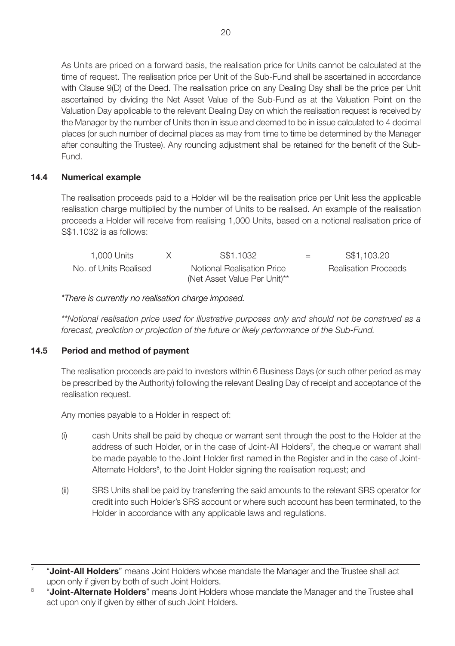As Units are priced on a forward basis, the realisation price for Units cannot be calculated at the time of request. The realisation price per Unit of the Sub-Fund shall be ascertained in accordance with Clause 9(D) of the Deed. The realisation price on any Dealing Day shall be the price per Unit ascertained by dividing the Net Asset Value of the Sub-Fund as at the Valuation Point on the Valuation Day applicable to the relevant Dealing Day on which the realisation request is received by the Manager by the number of Units then in issue and deemed to be in issue calculated to 4 decimal places (or such number of decimal places as may from time to time be determined by the Manager after consulting the Trustee). Any rounding adjustment shall be retained for the benefit of the Sub-Fund.

## **14.4 Numerical example**

The realisation proceeds paid to a Holder will be the realisation price per Unit less the applicable realisation charge multiplied by the number of Units to be realised. An example of the realisation proceeds a Holder will receive from realising 1,000 Units, based on a notional realisation price of S\$1.1032 is as follows:

| 1.000 Units           | S\$1,1032                    | $=$ | S\$1,103.20                 |
|-----------------------|------------------------------|-----|-----------------------------|
| No. of Units Realised | Notional Realisation Price   |     | <b>Realisation Proceeds</b> |
|                       | (Net Asset Value Per Unit)** |     |                             |

## *\*There is currently no realisation charge imposed.*

*\*\*Notional realisation price used for illustrative purposes only and should not be construed as a forecast, prediction or projection of the future or likely performance of the Sub-Fund.*

## **14.5 Period and method of payment**

The realisation proceeds are paid to investors within 6 Business Days (or such other period as may be prescribed by the Authority) following the relevant Dealing Day of receipt and acceptance of the realisation request.

Any monies payable to a Holder in respect of:

- (i) cash Units shall be paid by cheque or warrant sent through the post to the Holder at the address of such Holder, or in the case of Joint-All Holders<sup>7</sup>, the cheque or warrant shall be made payable to the Joint Holder first named in the Register and in the case of Joint-Alternate Holders<sup>8</sup>, to the Joint Holder signing the realisation request; and
- (ii) SRS Units shall be paid by transferring the said amounts to the relevant SRS operator for credit into such Holder's SRS account or where such account has been terminated, to the Holder in accordance with any applicable laws and regulations.

<sup>7</sup> "**Joint-All Holders**" means Joint Holders whose mandate the Manager and the Trustee shall act upon only if given by both of such Joint Holders.

<sup>8</sup> "**Joint-Alternate Holders**" means Joint Holders whose mandate the Manager and the Trustee shall act upon only if given by either of such Joint Holders.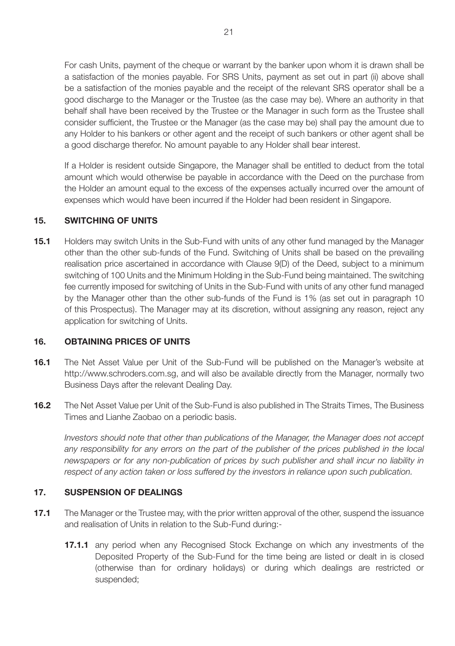For cash Units, payment of the cheque or warrant by the banker upon whom it is drawn shall be a satisfaction of the monies payable. For SRS Units, payment as set out in part (ii) above shall be a satisfaction of the monies payable and the receipt of the relevant SRS operator shall be a good discharge to the Manager or the Trustee (as the case may be). Where an authority in that behalf shall have been received by the Trustee or the Manager in such form as the Trustee shall consider sufficient, the Trustee or the Manager (as the case may be) shall pay the amount due to any Holder to his bankers or other agent and the receipt of such bankers or other agent shall be a good discharge therefor. No amount payable to any Holder shall bear interest.

If a Holder is resident outside Singapore, the Manager shall be entitled to deduct from the total amount which would otherwise be payable in accordance with the Deed on the purchase from the Holder an amount equal to the excess of the expenses actually incurred over the amount of expenses which would have been incurred if the Holder had been resident in Singapore.

## **15. SWITCHING OF UNITS**

**15.1** Holders may switch Units in the Sub-Fund with units of any other fund managed by the Manager other than the other sub-funds of the Fund. Switching of Units shall be based on the prevailing realisation price ascertained in accordance with Clause 9(D) of the Deed, subject to a minimum switching of 100 Units and the Minimum Holding in the Sub-Fund being maintained. The switching fee currently imposed for switching of Units in the Sub-Fund with units of any other fund managed by the Manager other than the other sub-funds of the Fund is 1% (as set out in paragraph 10 of this Prospectus). The Manager may at its discretion, without assigning any reason, reject any application for switching of Units.

#### **16. OBTAINING PRICES OF UNITS**

- **16.1** The Net Asset Value per Unit of the Sub-Fund will be published on the Manager's website at http://www.schroders.com.sg, and will also be available directly from the Manager, normally two Business Days after the relevant Dealing Day.
- **16.2** The Net Asset Value per Unit of the Sub-Fund is also published in The Straits Times, The Business Times and Lianhe Zaobao on a periodic basis.

*Investors should note that other than publications of the Manager, the Manager does not accept any responsibility for any errors on the part of the publisher of the prices published in the local newspapers or for any non-publication of prices by such publisher and shall incur no liability in respect of any action taken or loss suffered by the investors in reliance upon such publication.*

## **17. SUSPENSION OF DEALINGS**

- **17.1** The Manager or the Trustee may, with the prior written approval of the other, suspend the issuance and realisation of Units in relation to the Sub-Fund during:-
	- **17.1.1** any period when any Recognised Stock Exchange on which any investments of the Deposited Property of the Sub-Fund for the time being are listed or dealt in is closed (otherwise than for ordinary holidays) or during which dealings are restricted or suspended;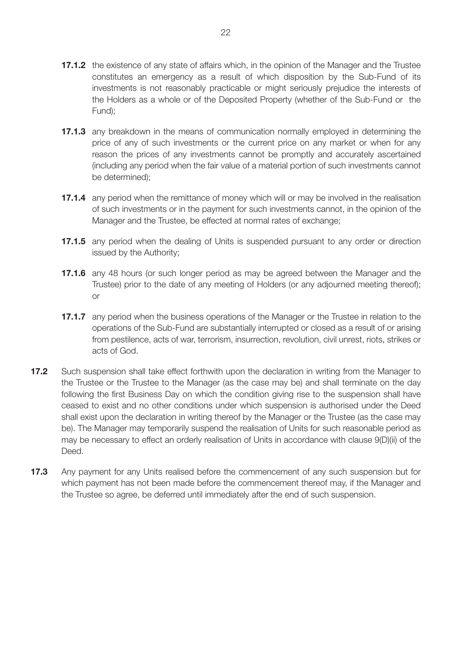- **17.1.2** the existence of any state of affairs which, in the opinion of the Manager and the Trustee constitutes an emergency as a result of which disposition by the Sub-Fund of its investments is not reasonably practicable or might seriously prejudice the interests of the Holders as a whole or of the Deposited Property (whether of the Sub-Fund or the Fund);
- **17.1.3** any breakdown in the means of communication normally employed in determining the price of any of such investments or the current price on any market or when for any reason the prices of any investments cannot be promptly and accurately ascertained (including any period when the fair value of a material portion of such investments cannot be determined);
- **17.1.4** any period when the remittance of money which will or may be involved in the realisation of such investments or in the payment for such investments cannot, in the opinion of the Manager and the Trustee, be effected at normal rates of exchange;
- **17.1.5** any period when the dealing of Units is suspended pursuant to any order or direction issued by the Authority;
- **17.1.6** any 48 hours (or such longer period as may be agreed between the Manager and the Trustee) prior to the date of any meeting of Holders (or any adjourned meeting thereof); or
- **17.1.7** any period when the business operations of the Manager or the Trustee in relation to the operations of the Sub-Fund are substantially interrupted or closed as a result of or arising from pestilence, acts of war, terrorism, insurrection, revolution, civil unrest, riots, strikes or acts of God.
- **17.2** Such suspension shall take effect forthwith upon the declaration in writing from the Manager to the Trustee or the Trustee to the Manager (as the case may be) and shall terminate on the day following the first Business Day on which the condition giving rise to the suspension shall have ceased to exist and no other conditions under which suspension is authorised under the Deed shall exist upon the declaration in writing thereof by the Manager or the Trustee (as the case may be). The Manager may temporarily suspend the realisation of Units for such reasonable period as may be necessary to effect an orderly realisation of Units in accordance with clause 9(D)(ii) of the Deed.
- **17.3** Any payment for any Units realised before the commencement of any such suspension but for which payment has not been made before the commencement thereof may, if the Manager and the Trustee so agree, be deferred until immediately after the end of such suspension.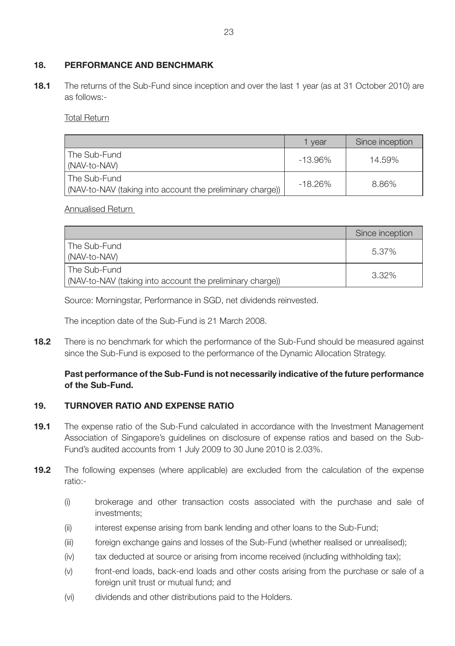## **18. PERFORMANCE AND BENCHMARK**

**18.1** The returns of the Sub-Fund since inception and over the last 1 year (as at 31 October 2010) are as follows:-

Total Return

|                                                                             | vear       | Since inception |
|-----------------------------------------------------------------------------|------------|-----------------|
| l The Sub-Fund<br>MAV-to-NAV)                                               | $-13.96\%$ | 14.59%          |
| l The Sub-Fund<br>(NAV-to-NAV (taking into account the preliminary charge)) | $-18.26%$  | 8.86%           |

Annualised Return

|                                                                             | Since inception |
|-----------------------------------------------------------------------------|-----------------|
| l The Sub-Fund<br>(NAV-to-NAV)                                              | 5.37%           |
| l The Sub-Fund<br>(NAV-to-NAV (taking into account the preliminary charge)) | 3.32%           |

Source: Morningstar, Performance in SGD, net dividends reinvested.

The inception date of the Sub-Fund is 21 March 2008.

**18.2** There is no benchmark for which the performance of the Sub-Fund should be measured against since the Sub-Fund is exposed to the performance of the Dynamic Allocation Strategy.

## **Past performance of the Sub-Fund is not necessarily indicative of the future performance of the Sub-Fund.**

## **19. TURNOVER RATIO AND EXPENSE RATIO**

- **19.1** The expense ratio of the Sub-Fund calculated in accordance with the Investment Management Association of Singapore's guidelines on disclosure of expense ratios and based on the Sub-Fund's audited accounts from 1 July 2009 to 30 June 2010 is 2.03%.
- **19.2** The following expenses (where applicable) are excluded from the calculation of the expense ratio:-
	- (i) brokerage and other transaction costs associated with the purchase and sale of investments;
	- (ii) interest expense arising from bank lending and other loans to the Sub-Fund;
	- (iii) foreign exchange gains and losses of the Sub-Fund (whether realised or unrealised);
	- (iv) tax deducted at source or arising from income received (including withholding tax);
	- (v) front-end loads, back-end loads and other costs arising from the purchase or sale of a foreign unit trust or mutual fund; and
	- (vi) dividends and other distributions paid to the Holders.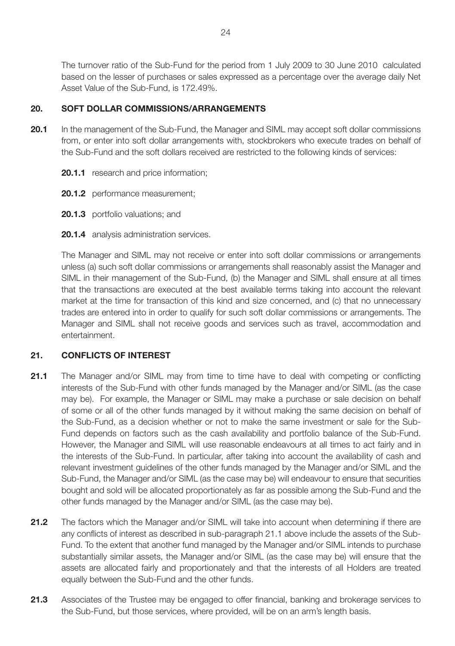The turnover ratio of the Sub-Fund for the period from 1 July 2009 to 30 June 2010 calculated based on the lesser of purchases or sales expressed as a percentage over the average daily Net Asset Value of the Sub-Fund, is 172.49%.

## **20. SOFT DOLLAR COMMISSIONS/ARRANGEMENTS**

- **20.1** In the management of the Sub-Fund, the Manager and SIML may accept soft dollar commissions from, or enter into soft dollar arrangements with, stockbrokers who execute trades on behalf of the Sub-Fund and the soft dollars received are restricted to the following kinds of services:
	- **20.1.1** research and price information;
	- **20.1.2** performance measurement:
	- **20.1.3** portfolio valuations; and
	- **20.1.4** analysis administration services.

The Manager and SIML may not receive or enter into soft dollar commissions or arrangements unless (a) such soft dollar commissions or arrangements shall reasonably assist the Manager and SIML in their management of the Sub-Fund, (b) the Manager and SIML shall ensure at all times that the transactions are executed at the best available terms taking into account the relevant market at the time for transaction of this kind and size concerned, and (c) that no unnecessary trades are entered into in order to qualify for such soft dollar commissions or arrangements. The Manager and SIML shall not receive goods and services such as travel, accommodation and entertainment.

## **21. CONFLICTS OF INTEREST**

- **21.1** The Manager and/or SIML may from time to time have to deal with competing or conflicting interests of the Sub-Fund with other funds managed by the Manager and/or SIML (as the case may be). For example, the Manager or SIML may make a purchase or sale decision on behalf of some or all of the other funds managed by it without making the same decision on behalf of the Sub-Fund, as a decision whether or not to make the same investment or sale for the Sub-Fund depends on factors such as the cash availability and portfolio balance of the Sub-Fund. However, the Manager and SIML will use reasonable endeavours at all times to act fairly and in the interests of the Sub-Fund. In particular, after taking into account the availability of cash and relevant investment guidelines of the other funds managed by the Manager and/or SIML and the Sub-Fund, the Manager and/or SIML (as the case may be) will endeavour to ensure that securities bought and sold will be allocated proportionately as far as possible among the Sub-Fund and the other funds managed by the Manager and/or SIML (as the case may be).
- 21.2 The factors which the Manager and/or SIML will take into account when determining if there are any conflicts of interest as described in sub-paragraph 21.1 above include the assets of the Sub-Fund. To the extent that another fund managed by the Manager and/or SIML intends to purchase substantially similar assets, the Manager and/or SIML (as the case may be) will ensure that the assets are allocated fairly and proportionately and that the interests of all Holders are treated equally between the Sub-Fund and the other funds.
- **21.3** Associates of the Trustee may be engaged to offer financial, banking and brokerage services to the Sub-Fund, but those services, where provided, will be on an arm's length basis.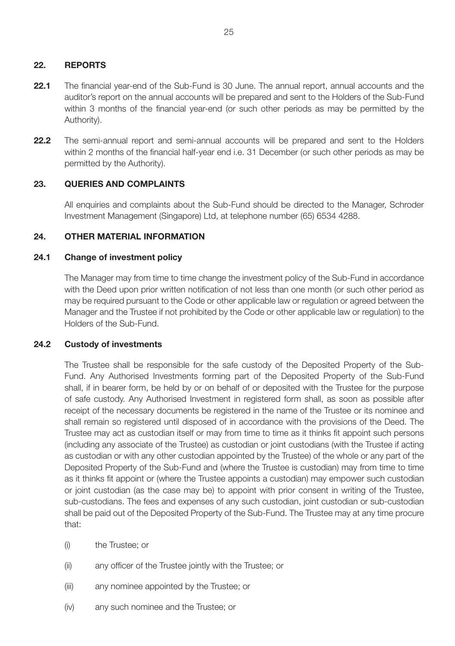## **22. REPORTS**

- 22.1 The financial year-end of the Sub-Fund is 30 June. The annual report, annual accounts and the auditor's report on the annual accounts will be prepared and sent to the Holders of the Sub-Fund within 3 months of the financial year-end (or such other periods as may be permitted by the Authority).
- **22.2** The semi-annual report and semi-annual accounts will be prepared and sent to the Holders within 2 months of the financial half-year end i.e. 31 December (or such other periods as may be permitted by the Authority).

## **23. QUERIES AND COMPLAINTS**

All enquiries and complaints about the Sub-Fund should be directed to the Manager, Schroder Investment Management (Singapore) Ltd, at telephone number (65) 6534 4288.

## **24. OTHER MATERIAL INFORMATION**

## **24.1 Change of investment policy**

The Manager may from time to time change the investment policy of the Sub-Fund in accordance with the Deed upon prior written notification of not less than one month (or such other period as may be required pursuant to the Code or other applicable law or regulation or agreed between the Manager and the Trustee if not prohibited by the Code or other applicable law or regulation) to the Holders of the Sub-Fund.

## **24.2 Custody of investments**

The Trustee shall be responsible for the safe custody of the Deposited Property of the Sub-Fund. Any Authorised Investments forming part of the Deposited Property of the Sub-Fund shall, if in bearer form, be held by or on behalf of or deposited with the Trustee for the purpose of safe custody. Any Authorised Investment in registered form shall, as soon as possible after receipt of the necessary documents be registered in the name of the Trustee or its nominee and shall remain so registered until disposed of in accordance with the provisions of the Deed. The Trustee may act as custodian itself or may from time to time as it thinks fit appoint such persons (including any associate of the Trustee) as custodian or joint custodians (with the Trustee if acting as custodian or with any other custodian appointed by the Trustee) of the whole or any part of the Deposited Property of the Sub-Fund and (where the Trustee is custodian) may from time to time as it thinks fit appoint or (where the Trustee appoints a custodian) may empower such custodian or joint custodian (as the case may be) to appoint with prior consent in writing of the Trustee, sub-custodians. The fees and expenses of any such custodian, joint custodian or sub-custodian shall be paid out of the Deposited Property of the Sub-Fund. The Trustee may at any time procure that:

- (i) the Trustee; or
- (ii) any officer of the Trustee jointly with the Trustee; or
- (iii) any nominee appointed by the Trustee; or
- (iv) any such nominee and the Trustee; or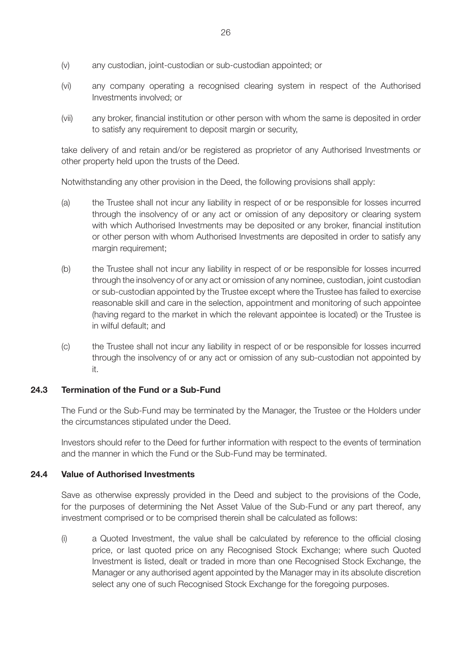- (v) any custodian, joint-custodian or sub-custodian appointed; or
- (vi) any company operating a recognised clearing system in respect of the Authorised Investments involved; or
- (vii) any broker, financial institution or other person with whom the same is deposited in order to satisfy any requirement to deposit margin or security,

take delivery of and retain and/or be registered as proprietor of any Authorised Investments or other property held upon the trusts of the Deed.

Notwithstanding any other provision in the Deed, the following provisions shall apply:

- (a) the Trustee shall not incur any liability in respect of or be responsible for losses incurred through the insolvency of or any act or omission of any depository or clearing system with which Authorised Investments may be deposited or any broker, financial institution or other person with whom Authorised Investments are deposited in order to satisfy any margin requirement;
- (b) the Trustee shall not incur any liability in respect of or be responsible for losses incurred through the insolvency of or any act or omission of any nominee, custodian, joint custodian or sub-custodian appointed by the Trustee except where the Trustee has failed to exercise reasonable skill and care in the selection, appointment and monitoring of such appointee (having regard to the market in which the relevant appointee is located) or the Trustee is in wilful default; and
- (c) the Trustee shall not incur any liability in respect of or be responsible for losses incurred through the insolvency of or any act or omission of any sub-custodian not appointed by it.

#### **24.3 Termination of the Fund or a Sub-Fund**

The Fund or the Sub-Fund may be terminated by the Manager, the Trustee or the Holders under the circumstances stipulated under the Deed.

Investors should refer to the Deed for further information with respect to the events of termination and the manner in which the Fund or the Sub-Fund may be terminated.

#### **24.4 Value of Authorised Investments**

Save as otherwise expressly provided in the Deed and subject to the provisions of the Code, for the purposes of determining the Net Asset Value of the Sub-Fund or any part thereof, any investment comprised or to be comprised therein shall be calculated as follows:

(i) a Quoted Investment, the value shall be calculated by reference to the official closing price, or last quoted price on any Recognised Stock Exchange; where such Quoted Investment is listed, dealt or traded in more than one Recognised Stock Exchange, the Manager or any authorised agent appointed by the Manager may in its absolute discretion select any one of such Recognised Stock Exchange for the foregoing purposes.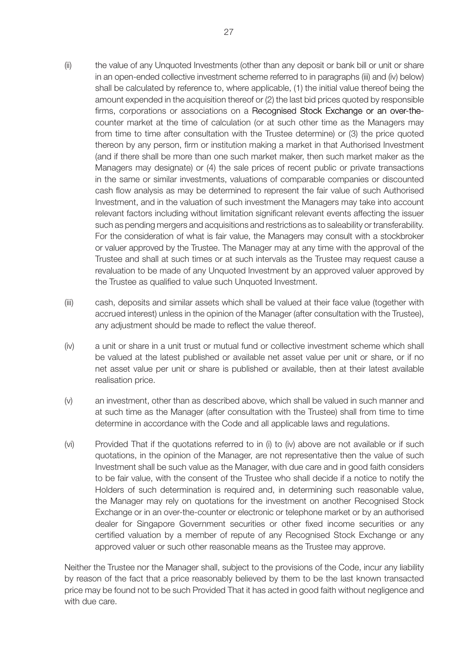- (ii) the value of any Unquoted Investments (other than any deposit or bank bill or unit or share in an open-ended collective investment scheme referred to in paragraphs (iii) and (iv) below) shall be calculated by reference to, where applicable, (1) the initial value thereof being the amount expended in the acquisition thereof or (2) the last bid prices quoted by responsible firms, corporations or associations on a Recognised Stock Exchange or an over-thecounter market at the time of calculation (or at such other time as the Managers may from time to time after consultation with the Trustee determine) or (3) the price quoted thereon by any person, firm or institution making a market in that Authorised Investment (and if there shall be more than one such market maker, then such market maker as the Managers may designate) or (4) the sale prices of recent public or private transactions in the same or similar investments, valuations of comparable companies or discounted cash flow analysis as may be determined to represent the fair value of such Authorised Investment, and in the valuation of such investment the Managers may take into account relevant factors including without limitation significant relevant events affecting the issuer such as pending mergers and acquisitions and restrictions as to saleability or transferability. For the consideration of what is fair value, the Managers may consult with a stockbroker or valuer approved by the Trustee. The Manager may at any time with the approval of the Trustee and shall at such times or at such intervals as the Trustee may request cause a revaluation to be made of any Unquoted Investment by an approved valuer approved by the Trustee as qualified to value such Unquoted Investment.
- (iii) cash, deposits and similar assets which shall be valued at their face value (together with accrued interest) unless in the opinion of the Manager (after consultation with the Trustee), any adjustment should be made to reflect the value thereof.
- (iv) a unit or share in a unit trust or mutual fund or collective investment scheme which shall be valued at the latest published or available net asset value per unit or share, or if no net asset value per unit or share is published or available, then at their latest available realisation price.
- (v) an investment, other than as described above, which shall be valued in such manner and at such time as the Manager (after consultation with the Trustee) shall from time to time determine in accordance with the Code and all applicable laws and regulations.
- (vi) Provided That if the quotations referred to in (i) to (iv) above are not available or if such quotations, in the opinion of the Manager, are not representative then the value of such Investment shall be such value as the Manager, with due care and in good faith considers to be fair value, with the consent of the Trustee who shall decide if a notice to notify the Holders of such determination is required and, in determining such reasonable value, the Manager may rely on quotations for the investment on another Recognised Stock Exchange or in an over-the-counter or electronic or telephone market or by an authorised dealer for Singapore Government securities or other fixed income securities or any certified valuation by a member of repute of any Recognised Stock Exchange or any approved valuer or such other reasonable means as the Trustee may approve.

Neither the Trustee nor the Manager shall, subject to the provisions of the Code, incur any liability by reason of the fact that a price reasonably believed by them to be the last known transacted price may be found not to be such Provided That it has acted in good faith without negligence and with due care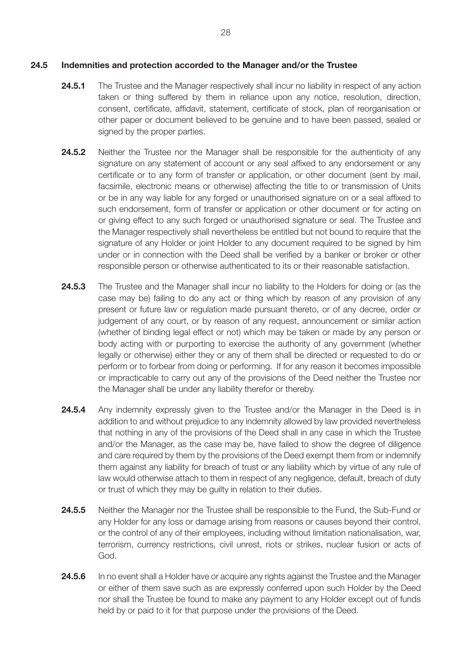- **24.5.1** The Trustee and the Manager respectively shall incur no liability in respect of any action taken or thing suffered by them in reliance upon any notice, resolution, direction, consent, certificate, affidavit, statement, certificate of stock, plan of reorganisation or other paper or document believed to be genuine and to have been passed, sealed or signed by the proper parties.
- **24.5.2** Neither the Trustee nor the Manager shall be responsible for the authenticity of any signature on any statement of account or any seal affixed to any endorsement or any certificate or to any form of transfer or application, or other document (sent by mail, facsimile, electronic means or otherwise) affecting the title to or transmission of Units or be in any way liable for any forged or unauthorised signature on or a seal affixed to such endorsement, form of transfer or application or other document or for acting on or giving effect to any such forged or unauthorised signature or seal. The Trustee and the Manager respectively shall nevertheless be entitled but not bound to require that the signature of any Holder or joint Holder to any document required to be signed by him under or in connection with the Deed shall be verified by a banker or broker or other responsible person or otherwise authenticated to its or their reasonable satisfaction.
- **24.5.3** The Trustee and the Manager shall incur no liability to the Holders for doing or (as the case may be) failing to do any act or thing which by reason of any provision of any present or future law or regulation made pursuant thereto, or of any decree, order or judgement of any court, or by reason of any request, announcement or similar action (whether of binding legal effect or not) which may be taken or made by any person or body acting with or purporting to exercise the authority of any government (whether legally or otherwise) either they or any of them shall be directed or requested to do or perform or to forbear from doing or performing. If for any reason it becomes impossible or impracticable to carry out any of the provisions of the Deed neither the Trustee nor the Manager shall be under any liability therefor or thereby.
- **24.5.4** Any indemnity expressly given to the Trustee and/or the Manager in the Deed is in addition to and without prejudice to any indemnity allowed by law provided nevertheless that nothing in any of the provisions of the Deed shall in any case in which the Trustee and/or the Manager, as the case may be, have failed to show the degree of diligence and care required by them by the provisions of the Deed exempt them from or indemnify them against any liability for breach of trust or any liability which by virtue of any rule of law would otherwise attach to them in respect of any negligence, default, breach of duty or trust of which they may be guilty in relation to their duties.
- **24.5.5** Neither the Manager nor the Trustee shall be responsible to the Fund, the Sub-Fund or any Holder for any loss or damage arising from reasons or causes beyond their control, or the control of any of their employees, including without limitation nationalisation, war, terrorism, currency restrictions, civil unrest, riots or strikes, nuclear fusion or acts of God.
- **24.5.6** In no event shall a Holder have or acquire any rights against the Trustee and the Manager or either of them save such as are expressly conferred upon such Holder by the Deed nor shall the Trustee be found to make any payment to any Holder except out of funds held by or paid to it for that purpose under the provisions of the Deed.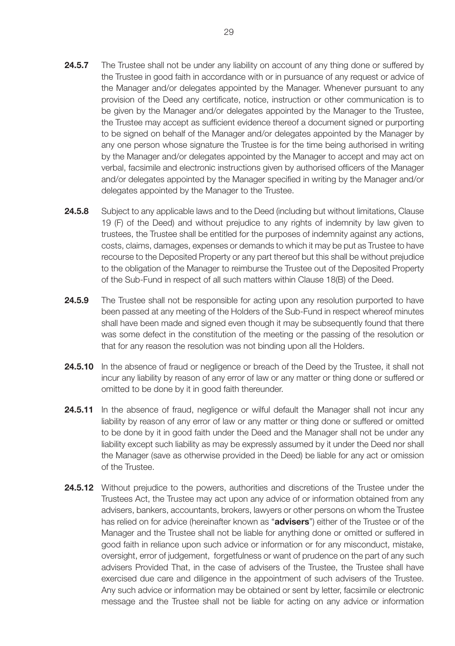- **24.5.7** The Trustee shall not be under any liability on account of any thing done or suffered by the Trustee in good faith in accordance with or in pursuance of any request or advice of the Manager and/or delegates appointed by the Manager. Whenever pursuant to any provision of the Deed any certificate, notice, instruction or other communication is to be given by the Manager and/or delegates appointed by the Manager to the Trustee, the Trustee may accept as sufficient evidence thereof a document signed or purporting to be signed on behalf of the Manager and/or delegates appointed by the Manager by any one person whose signature the Trustee is for the time being authorised in writing by the Manager and/or delegates appointed by the Manager to accept and may act on verbal, facsimile and electronic instructions given by authorised officers of the Manager and/or delegates appointed by the Manager specified in writing by the Manager and/or delegates appointed by the Manager to the Trustee.
- 24.5.8 Subject to any applicable laws and to the Deed (including but without limitations, Clause 19 (F) of the Deed) and without prejudice to any rights of indemnity by law given to trustees, the Trustee shall be entitled for the purposes of indemnity against any actions, costs, claims, damages, expenses or demands to which it may be put as Trustee to have recourse to the Deposited Property or any part thereof but this shall be without prejudice to the obligation of the Manager to reimburse the Trustee out of the Deposited Property of the Sub-Fund in respect of all such matters within Clause 18(B) of the Deed.
- **24.5.9** The Trustee shall not be responsible for acting upon any resolution purported to have been passed at any meeting of the Holders of the Sub-Fund in respect whereof minutes shall have been made and signed even though it may be subsequently found that there was some defect in the constitution of the meeting or the passing of the resolution or that for any reason the resolution was not binding upon all the Holders.
- 24.5.10 In the absence of fraud or negligence or breach of the Deed by the Trustee, it shall not incur any liability by reason of any error of law or any matter or thing done or suffered or omitted to be done by it in good faith thereunder.
- **24.5.11** In the absence of fraud, negligence or wilful default the Manager shall not incur any liability by reason of any error of law or any matter or thing done or suffered or omitted to be done by it in good faith under the Deed and the Manager shall not be under any liability except such liability as may be expressly assumed by it under the Deed nor shall the Manager (save as otherwise provided in the Deed) be liable for any act or omission of the Trustee.
- **24.5.12** Without prejudice to the powers, authorities and discretions of the Trustee under the Trustees Act, the Trustee may act upon any advice of or information obtained from any advisers, bankers, accountants, brokers, lawyers or other persons on whom the Trustee has relied on for advice (hereinafter known as "**advisers**") either of the Trustee or of the Manager and the Trustee shall not be liable for anything done or omitted or suffered in good faith in reliance upon such advice or information or for any misconduct, mistake, oversight, error of judgement, forgetfulness or want of prudence on the part of any such advisers Provided That, in the case of advisers of the Trustee, the Trustee shall have exercised due care and diligence in the appointment of such advisers of the Trustee. Any such advice or information may be obtained or sent by letter, facsimile or electronic message and the Trustee shall not be liable for acting on any advice or information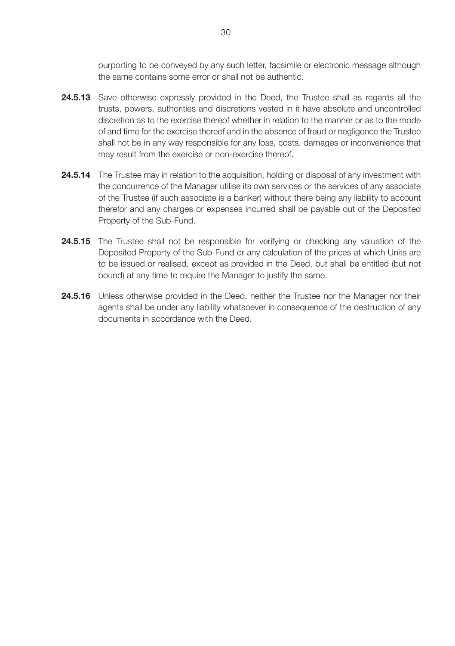purporting to be conveyed by any such letter, facsimile or electronic message although the same contains some error or shall not be authentic.

- 24.5.13 Save otherwise expressly provided in the Deed, the Trustee shall as regards all the trusts, powers, authorities and discretions vested in it have absolute and uncontrolled discretion as to the exercise thereof whether in relation to the manner or as to the mode of and time for the exercise thereof and in the absence of fraud or negligence the Trustee shall not be in any way responsible for any loss, costs, damages or inconvenience that may result from the exercise or non-exercise thereof.
- **24.5.14** The Trustee may in relation to the acquisition, holding or disposal of any investment with the concurrence of the Manager utilise its own services or the services of any associate of the Trustee (if such associate is a banker) without there being any liability to account therefor and any charges or expenses incurred shall be payable out of the Deposited Property of the Sub-Fund.
- 24.5.15 The Trustee shall not be responsible for verifying or checking any valuation of the Deposited Property of the Sub-Fund or any calculation of the prices at which Units are to be issued or realised, except as provided in the Deed, but shall be entitled (but not bound) at any time to require the Manager to justify the same.
- 24.5.16 Unless otherwise provided in the Deed, neither the Trustee nor the Manager nor their agents shall be under any liability whatsoever in consequence of the destruction of any documents in accordance with the Deed.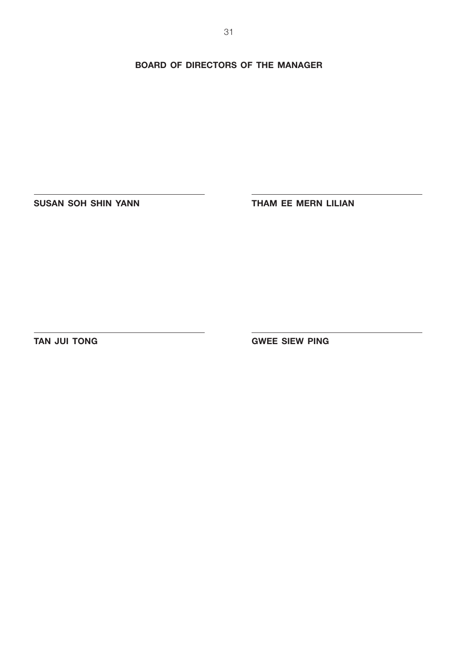**BOARD OF DIRECTORS OF THE MANAGER**

**SUSAN SOH SHIN YANN THAM EE MERN LILIAN** 

**TAN JUI TONG GWEE SIEW PING**